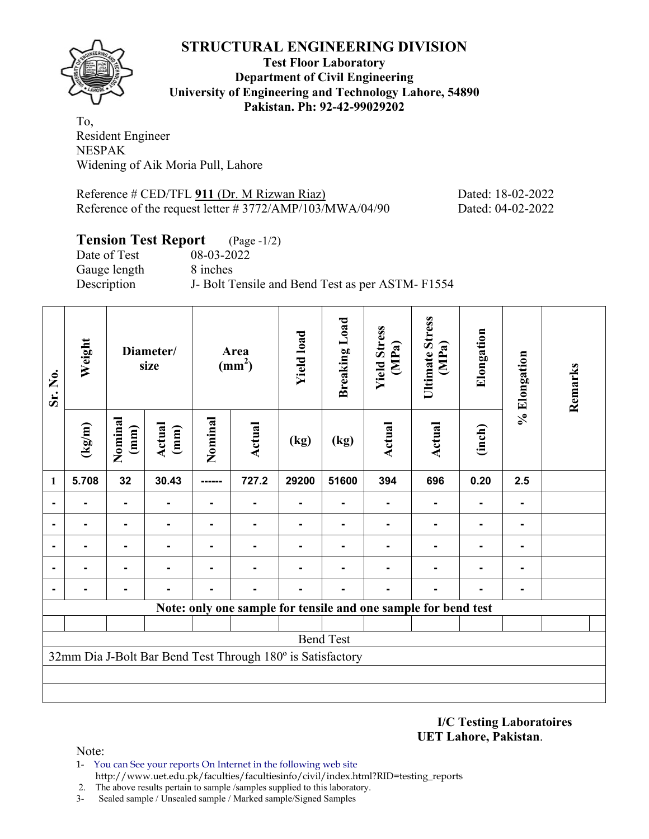

**Test Floor Laboratory Department of Civil Engineering University of Engineering and Technology Lahore, 54890 Pakistan. Ph: 92-42-99029202** 

To, Resident Engineer NESPAK Widening of Aik Moria Pull, Lahore

Reference # CED/TFL 911 (Dr. M Rizwan Riaz) Dated: 18-02-2022 Reference of the request letter # 3772/AMP/103/MWA/04/90 Dated: 04-02-2022

# **Tension Test Report** (Page -1/2)

Date of Test 08-03-2022 Gauge length 8 inches

Description J- Bolt Tensile and Bend Test as per ASTM- F1554

| Sr. No.        | Weight                                                     | Diameter/<br>size |                | <b>Yield load</b><br>Area<br>(mm <sup>2</sup> ) |                                                                |       | <b>Breaking Load</b> | <b>Yield Stress</b><br>(MPa) | <b>Ultimate Stress</b><br>(MPa) | Elongation | % Elongation | Remarks |
|----------------|------------------------------------------------------------|-------------------|----------------|-------------------------------------------------|----------------------------------------------------------------|-------|----------------------|------------------------------|---------------------------------|------------|--------------|---------|
|                | $(\text{kg/m})$                                            | Nominal<br>(mm)   | Actual<br>(mm) | Nominal                                         | Actual                                                         | (kg)  | (kg)                 | Actual                       | Actual                          | (inch)     |              |         |
| $\mathbf{1}$   | 5.708                                                      | 32                | 30.43          |                                                 | 727.2                                                          | 29200 | 51600                | 394                          | 696                             | 0.20       | 2.5          |         |
|                |                                                            | $\blacksquare$    |                | $\blacksquare$                                  |                                                                |       |                      |                              |                                 |            |              |         |
| $\blacksquare$ |                                                            | Ξ.                |                | $\blacksquare$                                  |                                                                |       |                      |                              |                                 |            |              |         |
|                |                                                            |                   |                |                                                 |                                                                |       |                      |                              |                                 |            |              |         |
|                |                                                            |                   |                |                                                 |                                                                |       |                      |                              |                                 |            |              |         |
|                |                                                            |                   |                |                                                 |                                                                |       |                      |                              |                                 |            |              |         |
|                |                                                            |                   |                |                                                 | Note: only one sample for tensile and one sample for bend test |       |                      |                              |                                 |            |              |         |
|                |                                                            |                   |                |                                                 |                                                                |       |                      |                              |                                 |            |              |         |
|                | <b>Bend Test</b>                                           |                   |                |                                                 |                                                                |       |                      |                              |                                 |            |              |         |
|                | 32mm Dia J-Bolt Bar Bend Test Through 180° is Satisfactory |                   |                |                                                 |                                                                |       |                      |                              |                                 |            |              |         |
|                |                                                            |                   |                |                                                 |                                                                |       |                      |                              |                                 |            |              |         |
|                |                                                            |                   |                |                                                 |                                                                |       |                      |                              |                                 |            |              |         |

**I/C Testing Laboratoires UET Lahore, Pakistan**.

- 1- You can See your reports On Internet in the following web site http://www.uet.edu.pk/faculties/facultiesinfo/civil/index.html?RID=testing\_reports
- 2. The above results pertain to sample /samples supplied to this laboratory.
- 3- Sealed sample / Unsealed sample / Marked sample/Signed Samples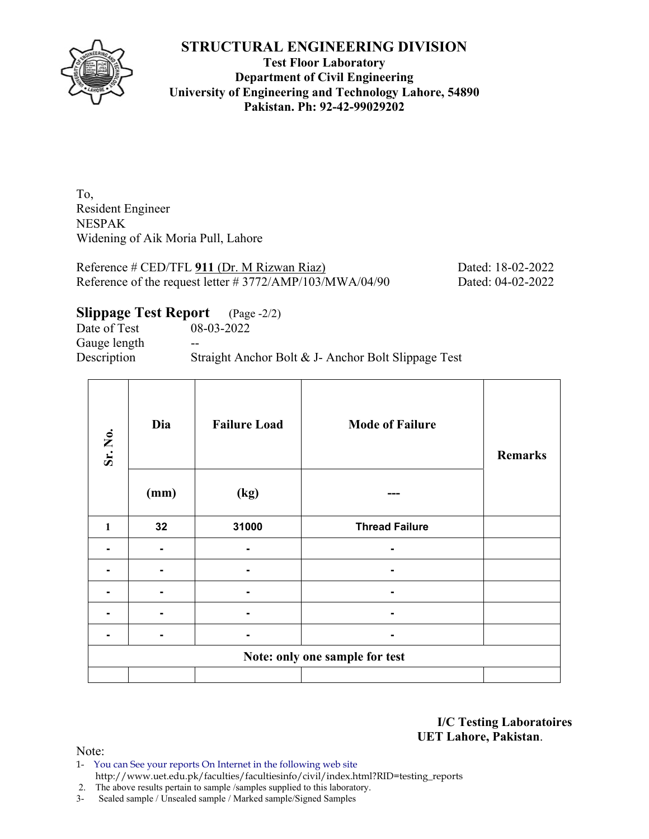

**Test Floor Laboratory Department of Civil Engineering University of Engineering and Technology Lahore, 54890 Pakistan. Ph: 92-42-99029202** 

To, Resident Engineer NESPAK Widening of Aik Moria Pull, Lahore

Reference # CED/TFL 911 (Dr. M Rizwan Riaz) Dated: 18-02-2022 Reference of the request letter # 3772/AMP/103/MWA/04/90 Dated: 04-02-2022

**Slippage Test Report** (Page -2/2)

Date of Test 08-03-2022 Gauge length --Description Straight Anchor Bolt & J- Anchor Bolt Slippage Test

| Sr. No.      | Dia                            | <b>Failure Load</b> | <b>Mode of Failure</b> | <b>Remarks</b> |  |  |  |  |  |  |
|--------------|--------------------------------|---------------------|------------------------|----------------|--|--|--|--|--|--|
|              | (mm)                           | (kg)                |                        |                |  |  |  |  |  |  |
| $\mathbf{1}$ | 32                             | 31000               | <b>Thread Failure</b>  |                |  |  |  |  |  |  |
|              |                                |                     |                        |                |  |  |  |  |  |  |
| -            |                                |                     |                        |                |  |  |  |  |  |  |
|              |                                |                     | -                      |                |  |  |  |  |  |  |
|              |                                |                     |                        |                |  |  |  |  |  |  |
|              |                                |                     |                        |                |  |  |  |  |  |  |
|              | Note: only one sample for test |                     |                        |                |  |  |  |  |  |  |
|              |                                |                     |                        |                |  |  |  |  |  |  |

**I/C Testing Laboratoires UET Lahore, Pakistan**.

Note:

1- You can See your reports On Internet in the following web site http://www.uet.edu.pk/faculties/facultiesinfo/civil/index.html?RID=testing\_reports

2. The above results pertain to sample /samples supplied to this laboratory.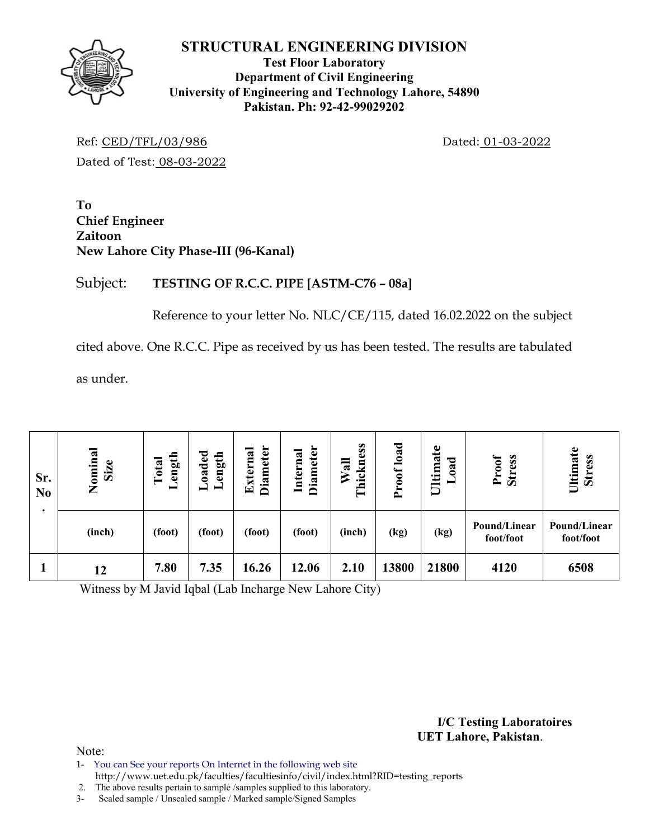

#### **Test Floor Laboratory Department of Civil Engineering University of Engineering and Technology Lahore, 54890 Pakistan. Ph: 92-42-99029202**

Ref: CED/TFL/03/986 Dated: 01-03-2022 Dated of Test: 08-03-2022

**To Chief Engineer Zaitoon New Lahore City Phase-III (96-Kanal)** 

# Subject: **TESTING OF R.C.C. PIPE [ASTM-C76 – 08a]**

Reference to your letter No. NLC/CE/115, dated 16.02.2022 on the subject

cited above. One R.C.C. Pipe as received by us has been tested. The results are tabulated

as under.

| Sr.<br>N <sub>0</sub> | Nominal<br>Size | ength<br>Total<br>ᅴ | oaded<br>ength<br>- | <b>Diameter</b><br>xterna<br>$\mathbf{E}$ | <b>Diameter</b><br>Internal | Thickness<br>Wall | load<br>Proof | Ultimate<br>ರ<br>ಡ<br>∊<br>$\qquad \qquad$ | Proof<br><b>Stress</b>    | Ultimate<br><b>Stress</b> |
|-----------------------|-----------------|---------------------|---------------------|-------------------------------------------|-----------------------------|-------------------|---------------|--------------------------------------------|---------------------------|---------------------------|
|                       | (inch)          | (foot)              | (foot)              | (foot)                                    | (foot)                      | (inch)            | (kg)          | (kg)                                       | Pound/Linear<br>foot/foot | Pound/Linear<br>foot/foot |
|                       | 12              | 7.80                | 7.35                | 16.26                                     | 12.06                       | 2.10              | 13800         | 21800                                      | 4120                      | 6508                      |

Witness by M Javid Iqbal (Lab Incharge New Lahore City)

**I/C Testing Laboratoires UET Lahore, Pakistan**.

- 1- You can See your reports On Internet in the following web site
- http://www.uet.edu.pk/faculties/facultiesinfo/civil/index.html?RID=testing\_reports
- 2. The above results pertain to sample /samples supplied to this laboratory. 3- Sealed sample / Unsealed sample / Marked sample/Signed Samples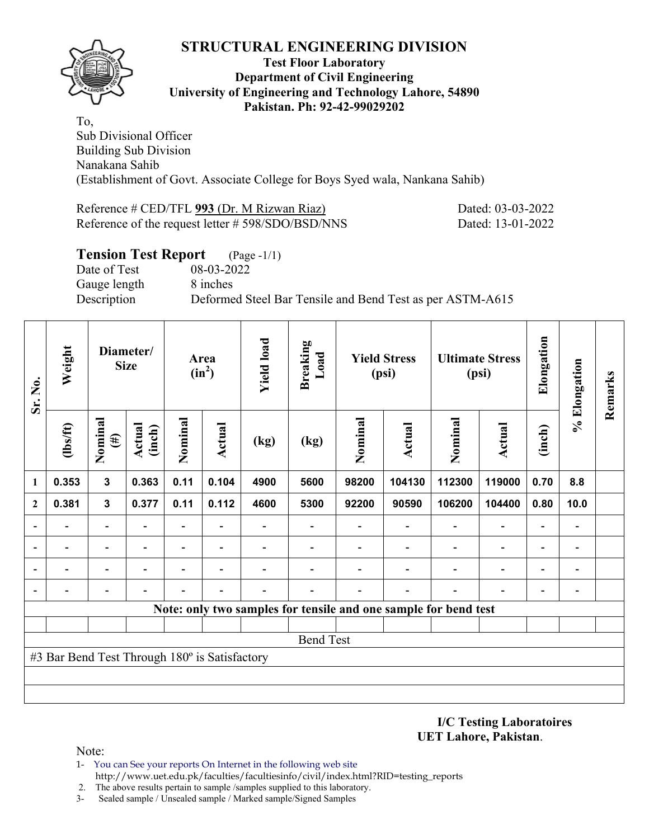

#### **Test Floor Laboratory Department of Civil Engineering University of Engineering and Technology Lahore, 54890 Pakistan. Ph: 92-42-99029202**

To, Sub Divisional Officer Building Sub Division Nanakana Sahib (Establishment of Govt. Associate College for Boys Syed wala, Nankana Sahib)

#### Reference # CED/TFL **993** (Dr. M Rizwan Riaz) Dated: 03-03-2022 Reference of the request letter # 598/SDO/BSD/NNS Dated: 13-01-2022

| <b>Tension Test Report</b> (Page -1/1) |                                                           |
|----------------------------------------|-----------------------------------------------------------|
| Date of Test                           | 08-03-2022                                                |
| Gauge length                           | 8 inches                                                  |
| Description                            | Deformed Steel Bar Tensile and Bend Test as per ASTM-A615 |

| Sr. No.                  | Weight                                        | Diameter/<br><b>Size</b> |                  | Area<br>$(in^2)$         |                          | <b>Yield load</b> | <b>Breaking</b><br>Load                                         | <b>Yield Stress</b><br>(psi) |        |                          | <b>Ultimate Stress</b><br>(psi) | Elongation               | % Elongation   | Remarks |
|--------------------------|-----------------------------------------------|--------------------------|------------------|--------------------------|--------------------------|-------------------|-----------------------------------------------------------------|------------------------------|--------|--------------------------|---------------------------------|--------------------------|----------------|---------|
|                          | (1bs/ft)                                      | Nominal<br>$(\#)$        | Actual<br>(inch) | Nominal                  | Actual                   | (kg)              | (kg)                                                            | Nominal                      | Actual | Nominal                  | <b>Actual</b>                   | (inch)                   |                |         |
| 1                        | 0.353                                         | $\mathbf{3}$             | 0.363            | 0.11                     | 0.104                    | 4900              | 5600                                                            | 98200                        | 104130 | 112300                   | 119000                          | 0.70                     | 8.8            |         |
| $\overline{2}$           | 0.381                                         | $\mathbf{3}$             | 0.377            | 0.11                     | 0.112                    | 4600              | 5300                                                            | 92200                        | 90590  | 106200                   | 104400                          | 0.80                     | 10.0           |         |
| $\overline{\phantom{0}}$ |                                               |                          |                  | $\overline{\phantom{0}}$ |                          |                   |                                                                 |                              |        |                          | $\overline{\phantom{0}}$        | $\overline{\phantom{0}}$ |                |         |
| $\overline{\phantom{0}}$ |                                               | $\overline{\phantom{0}}$ |                  | Ξ.                       |                          |                   |                                                                 |                              |        | $\overline{\phantom{0}}$ | $\overline{\phantom{a}}$        | $\overline{\phantom{a}}$ | $\overline{a}$ |         |
| $\overline{\phantom{0}}$ |                                               | $\overline{\phantom{0}}$ |                  | $\overline{\phantom{0}}$ | $\overline{\phantom{0}}$ |                   |                                                                 |                              |        | $\overline{\phantom{0}}$ | $\overline{\phantom{0}}$        | $\overline{\phantom{a}}$ | $\overline{a}$ |         |
| $\overline{\phantom{0}}$ |                                               | $\overline{\phantom{0}}$ |                  |                          |                          |                   |                                                                 |                              |        |                          | $\overline{a}$                  | $\overline{\phantom{0}}$ | -              |         |
|                          |                                               |                          |                  |                          |                          |                   | Note: only two samples for tensile and one sample for bend test |                              |        |                          |                                 |                          |                |         |
|                          |                                               |                          |                  |                          |                          |                   |                                                                 |                              |        |                          |                                 |                          |                |         |
|                          | <b>Bend Test</b>                              |                          |                  |                          |                          |                   |                                                                 |                              |        |                          |                                 |                          |                |         |
|                          | #3 Bar Bend Test Through 180° is Satisfactory |                          |                  |                          |                          |                   |                                                                 |                              |        |                          |                                 |                          |                |         |
|                          |                                               |                          |                  |                          |                          |                   |                                                                 |                              |        |                          |                                 |                          |                |         |
|                          |                                               |                          |                  |                          |                          |                   |                                                                 |                              |        |                          |                                 |                          |                |         |

**I/C Testing Laboratoires UET Lahore, Pakistan**.

- 1- You can See your reports On Internet in the following web site http://www.uet.edu.pk/faculties/facultiesinfo/civil/index.html?RID=testing\_reports
- 2. The above results pertain to sample /samples supplied to this laboratory.
- 3- Sealed sample / Unsealed sample / Marked sample/Signed Samples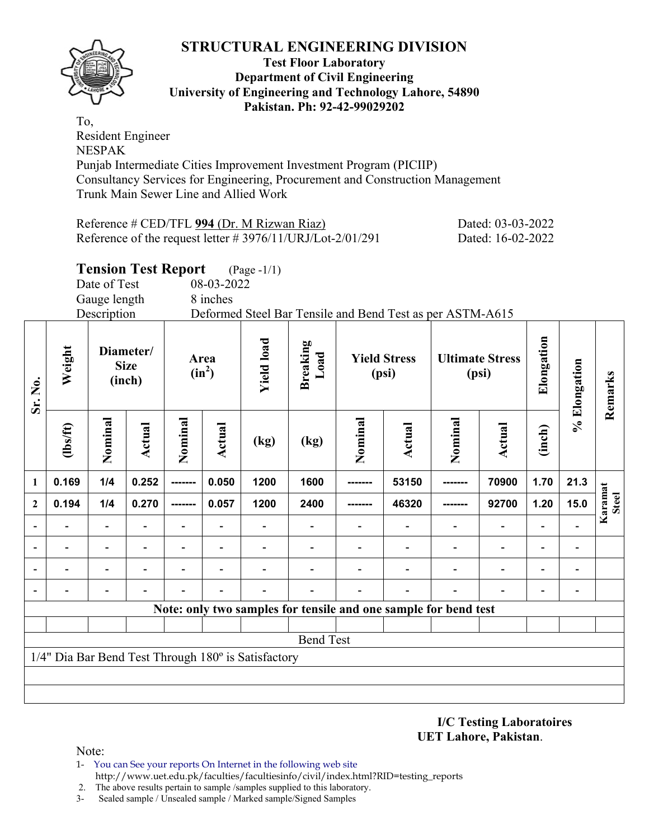

#### **Test Floor Laboratory Department of Civil Engineering University of Engineering and Technology Lahore, 54890 Pakistan. Ph: 92-42-99029202**

To, Resident Engineer NESPAK Punjab Intermediate Cities Improvement Investment Program (PICIIP) Consultancy Services for Engineering, Procurement and Construction Management Trunk Main Sewer Line and Allied Work

| Reference # CED/TFL 994 (Dr. M Rizwan Riaz)                   | Dated: 03-03-2022 |
|---------------------------------------------------------------|-------------------|
| Reference of the request letter $\# 3976/11/URJ/Lot-2/01/291$ | Dated: 16-02-2022 |

# **Tension Test Report** (Page -1/1)

Date of Test 08-03-2022

Gauge length 8 inches

Description Deformed Steel Bar Tensile and Bend Test as per ASTM-A615

| Sr. No.                  | Weight                                              | Diameter/<br><b>Size</b><br>(inch) |                          | Area<br>$(in^2)$         |                          | <b>Yield load</b>        |                                                                 |                          | <b>Yield Stress</b><br>(psi) |                          | <b>Ultimate Stress</b><br>(psi) | Elongation               | % Elongation             | Remarks                 |
|--------------------------|-----------------------------------------------------|------------------------------------|--------------------------|--------------------------|--------------------------|--------------------------|-----------------------------------------------------------------|--------------------------|------------------------------|--------------------------|---------------------------------|--------------------------|--------------------------|-------------------------|
|                          | $\frac{2}{10}$                                      | Nominal                            | <b>Actual</b>            | Nominal                  | Actual                   | (kg)                     | (kg)                                                            | Nominal                  | <b>Actual</b>                | Nominal                  | <b>Actual</b>                   | (inch)                   |                          |                         |
| 1                        | 0.169                                               | 1/4                                | 0.252                    | -------                  | 0.050                    | 1200                     | 1600                                                            | --------                 | 53150                        | --------                 | 70900                           | 1.70                     | 21.3                     |                         |
| $\overline{2}$           | 0.194                                               | 1/4                                | 0.270                    | -------                  | 0.057                    | 1200                     | 2400                                                            | -------                  | 46320                        | -------                  | 92700                           | 1.20                     | 15.0                     | Karamat<br><b>Steel</b> |
| $\blacksquare$           |                                                     | $\overline{\phantom{a}}$           | $\overline{\phantom{0}}$ | $\overline{\phantom{0}}$ |                          |                          |                                                                 |                          | $\blacksquare$               | $\overline{\phantom{0}}$ | $\overline{\phantom{a}}$        | $\overline{\phantom{a}}$ |                          |                         |
|                          |                                                     | $\overline{\phantom{0}}$           |                          |                          | $\overline{\phantom{a}}$ |                          |                                                                 |                          |                              |                          | $\overline{\phantom{a}}$        | $\overline{\phantom{0}}$ | $\overline{a}$           |                         |
| $\overline{\phantom{a}}$ | $\overline{\phantom{0}}$                            | $\blacksquare$                     | $\blacksquare$           | $\overline{\phantom{0}}$ | $\blacksquare$           | $\overline{\phantom{0}}$ |                                                                 | $\overline{\phantom{0}}$ | $\overline{\phantom{0}}$     | $\overline{a}$           | $\overline{\phantom{a}}$        | $\blacksquare$           | $\overline{\phantom{a}}$ |                         |
| $\overline{a}$           |                                                     | $\overline{\phantom{0}}$           |                          |                          |                          |                          |                                                                 |                          | $\overline{\phantom{0}}$     | $\overline{\phantom{0}}$ | $\overline{\phantom{a}}$        | $\overline{\phantom{0}}$ | $\overline{\phantom{a}}$ |                         |
|                          |                                                     |                                    |                          |                          |                          |                          | Note: only two samples for tensile and one sample for bend test |                          |                              |                          |                                 |                          |                          |                         |
|                          |                                                     |                                    |                          |                          |                          |                          |                                                                 |                          |                              |                          |                                 |                          |                          |                         |
|                          | <b>Bend Test</b>                                    |                                    |                          |                          |                          |                          |                                                                 |                          |                              |                          |                                 |                          |                          |                         |
|                          | 1/4" Dia Bar Bend Test Through 180° is Satisfactory |                                    |                          |                          |                          |                          |                                                                 |                          |                              |                          |                                 |                          |                          |                         |
|                          |                                                     |                                    |                          |                          |                          |                          |                                                                 |                          |                              |                          |                                 |                          |                          |                         |
|                          |                                                     |                                    |                          |                          |                          |                          |                                                                 |                          |                              |                          |                                 |                          |                          |                         |

#### **I/C Testing Laboratoires UET Lahore, Pakistan**.

- 1- You can See your reports On Internet in the following web site http://www.uet.edu.pk/faculties/facultiesinfo/civil/index.html?RID=testing\_reports
- 2. The above results pertain to sample /samples supplied to this laboratory.
- 3- Sealed sample / Unsealed sample / Marked sample/Signed Samples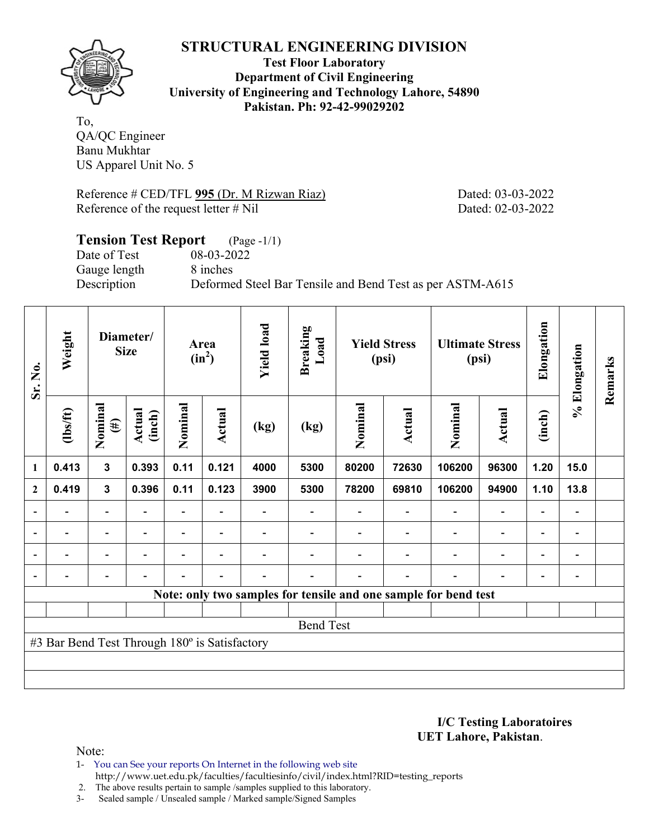

**Test Floor Laboratory Department of Civil Engineering University of Engineering and Technology Lahore, 54890 Pakistan. Ph: 92-42-99029202** 

To, QA/QC Engineer Banu Mukhtar US Apparel Unit No. 5

Reference # CED/TFL 995 (Dr. M Rizwan Riaz) Dated: 03-03-2022 Reference of the request letter # Nil Dated: 02-03-2022

# **Tension Test Report** (Page -1/1) Date of Test 08-03-2022 Gauge length 8 inches Description Deformed Steel Bar Tensile and Bend Test as per ASTM-A615

| Sr. No.        | Weight                                        | Diameter/<br><b>Size</b> |                         | Area<br>$(in^2)$ | <b>Yield load</b>        | <b>Breaking</b><br>Load |      | <b>Yield Stress</b><br>(psi) |        | <b>Ultimate Stress</b><br>(psi)                                 | Elongation                   | % Elongation             | Remarks                      |  |
|----------------|-----------------------------------------------|--------------------------|-------------------------|------------------|--------------------------|-------------------------|------|------------------------------|--------|-----------------------------------------------------------------|------------------------------|--------------------------|------------------------------|--|
|                | $\frac{2}{10}$                                | Nominal<br>$(\#)$        | <b>Actual</b><br>(inch) | Nominal          | Actual                   | (kg)                    | (kg) | Nominal                      | Actual | Nominal                                                         | <b>Actual</b>                | (inch)                   |                              |  |
| 1              | 0.413                                         | $\mathbf{3}$             | 0.393                   | 0.11             | 0.121                    | 4000                    | 5300 | 80200                        | 72630  | 106200                                                          | 96300                        | 1.20                     | 15.0                         |  |
| $\overline{2}$ | 0.419                                         | $\mathbf{3}$             | 0.396                   | 0.11             | 0.123                    | 3900                    | 5300 | 78200                        | 69810  | 106200                                                          | 94900                        | 1.10                     | 13.8                         |  |
|                |                                               |                          |                         |                  |                          |                         |      |                              |        |                                                                 | $\overline{\phantom{0}}$     | $\overline{\phantom{0}}$ |                              |  |
|                | ۰                                             | $\overline{\phantom{a}}$ |                         |                  | ۰                        |                         |      |                              |        |                                                                 | $\overline{\phantom{0}}$     | $\overline{\phantom{0}}$ | $\blacksquare$               |  |
|                | $\overline{\phantom{0}}$                      | $\overline{\phantom{0}}$ |                         |                  |                          |                         |      |                              |        | $\blacksquare$                                                  | $\overline{\phantom{0}}$     | $\overline{\phantom{0}}$ | $\overline{\phantom{0}}$     |  |
|                | $\overline{\phantom{0}}$                      | -                        |                         |                  | $\overline{\phantom{0}}$ |                         |      |                              |        | $\blacksquare$                                                  | $\qquad \qquad \blacksquare$ | -                        | $\qquad \qquad \blacksquare$ |  |
|                |                                               |                          |                         |                  |                          |                         |      |                              |        | Note: only two samples for tensile and one sample for bend test |                              |                          |                              |  |
|                |                                               |                          |                         |                  |                          |                         |      |                              |        |                                                                 |                              |                          |                              |  |
|                | <b>Bend Test</b>                              |                          |                         |                  |                          |                         |      |                              |        |                                                                 |                              |                          |                              |  |
|                | #3 Bar Bend Test Through 180° is Satisfactory |                          |                         |                  |                          |                         |      |                              |        |                                                                 |                              |                          |                              |  |
|                |                                               |                          |                         |                  |                          |                         |      |                              |        |                                                                 |                              |                          |                              |  |
|                |                                               |                          |                         |                  |                          |                         |      |                              |        |                                                                 |                              |                          |                              |  |

**I/C Testing Laboratoires UET Lahore, Pakistan**.

- 1- You can See your reports On Internet in the following web site http://www.uet.edu.pk/faculties/facultiesinfo/civil/index.html?RID=testing\_reports
- 2. The above results pertain to sample /samples supplied to this laboratory.
- 3- Sealed sample / Unsealed sample / Marked sample/Signed Samples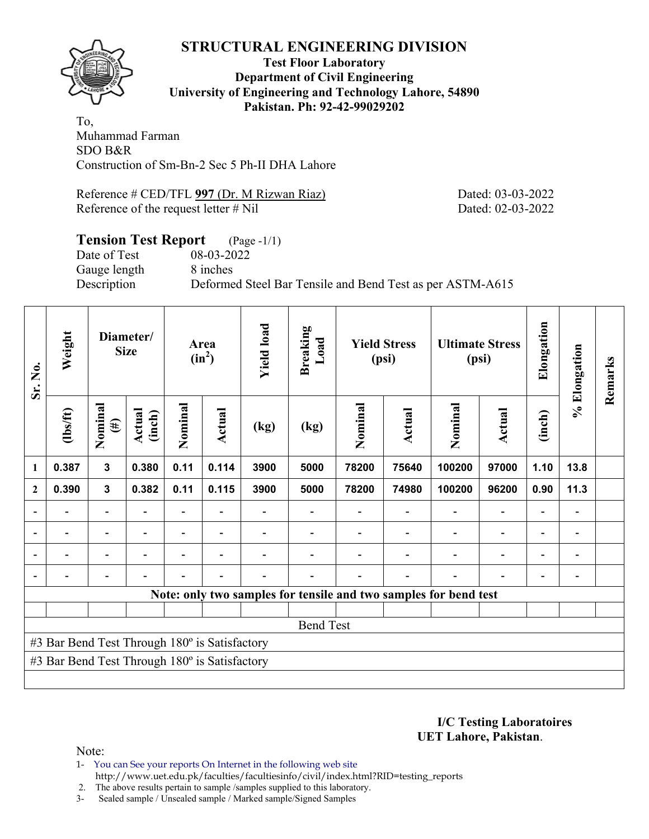

**Test Floor Laboratory Department of Civil Engineering University of Engineering and Technology Lahore, 54890 Pakistan. Ph: 92-42-99029202** 

To, Muhammad Farman SDO B&R Construction of Sm-Bn-2 Sec 5 Ph-II DHA Lahore

Reference # CED/TFL 997 (Dr. M Rizwan Riaz) Dated: 03-03-2022 Reference of the request letter # Nil Dated: 02-03-2022

#### **Tension Test Report** (Page -1/1) Date of Test 08-03-2022 Gauge length 8 inches

Description Deformed Steel Bar Tensile and Bend Test as per ASTM-A615

| Sr. No.        | Weight                                        |                          | Diameter/<br><b>Size</b> |                          | Area<br>$(in^2)$ | <b>Yield load</b> | <b>Breaking</b><br>Load |         | <b>Yield Stress</b><br>(psi) | <b>Ultimate Stress</b><br>(psi)                                  |                              | Elongation     | % Elongation                 | Remarks |
|----------------|-----------------------------------------------|--------------------------|--------------------------|--------------------------|------------------|-------------------|-------------------------|---------|------------------------------|------------------------------------------------------------------|------------------------------|----------------|------------------------------|---------|
|                | (1bs/ft)                                      | Nominal<br>$(\#)$        | Actual<br>(inch)         | Nominal                  | Actual           | (kg)              | (kg)                    | Nominal | <b>Actual</b>                | Nominal                                                          | Actual                       | (inch)         |                              |         |
| 1              | 0.387                                         | $\mathbf{3}$             | 0.380                    | 0.11                     | 0.114            | 3900              | 5000                    | 78200   | 75640                        | 100200                                                           | 97000                        | 1.10           | 13.8                         |         |
| $\overline{2}$ | 0.390                                         | $\mathbf{3}$             | 0.382                    | 0.11                     | 0.115            | 3900              | 5000                    | 78200   | 74980                        | 100200                                                           | 96200                        | 0.90           | 11.3                         |         |
|                |                                               | $\overline{\phantom{0}}$ |                          | $\blacksquare$           |                  |                   |                         |         |                              |                                                                  |                              | $\blacksquare$ | $\qquad \qquad \blacksquare$ |         |
|                |                                               | $\overline{\phantom{0}}$ |                          | $\overline{\phantom{0}}$ | $\blacksquare$   |                   |                         |         |                              |                                                                  | $\qquad \qquad \blacksquare$ |                | $\qquad \qquad \blacksquare$ |         |
|                |                                               |                          |                          |                          |                  |                   |                         |         |                              |                                                                  |                              |                |                              |         |
|                |                                               |                          |                          |                          |                  |                   |                         |         |                              |                                                                  |                              |                |                              |         |
|                |                                               |                          |                          |                          |                  |                   |                         |         |                              | Note: only two samples for tensile and two samples for bend test |                              |                |                              |         |
|                |                                               |                          |                          |                          |                  |                   |                         |         |                              |                                                                  |                              |                |                              |         |
|                | <b>Bend Test</b>                              |                          |                          |                          |                  |                   |                         |         |                              |                                                                  |                              |                |                              |         |
|                | #3 Bar Bend Test Through 180° is Satisfactory |                          |                          |                          |                  |                   |                         |         |                              |                                                                  |                              |                |                              |         |
|                | #3 Bar Bend Test Through 180° is Satisfactory |                          |                          |                          |                  |                   |                         |         |                              |                                                                  |                              |                |                              |         |
|                |                                               |                          |                          |                          |                  |                   |                         |         |                              |                                                                  |                              |                |                              |         |

**I/C Testing Laboratoires UET Lahore, Pakistan**.

- 1- You can See your reports On Internet in the following web site http://www.uet.edu.pk/faculties/facultiesinfo/civil/index.html?RID=testing\_reports
- 2. The above results pertain to sample /samples supplied to this laboratory.
- 3- Sealed sample / Unsealed sample / Marked sample/Signed Samples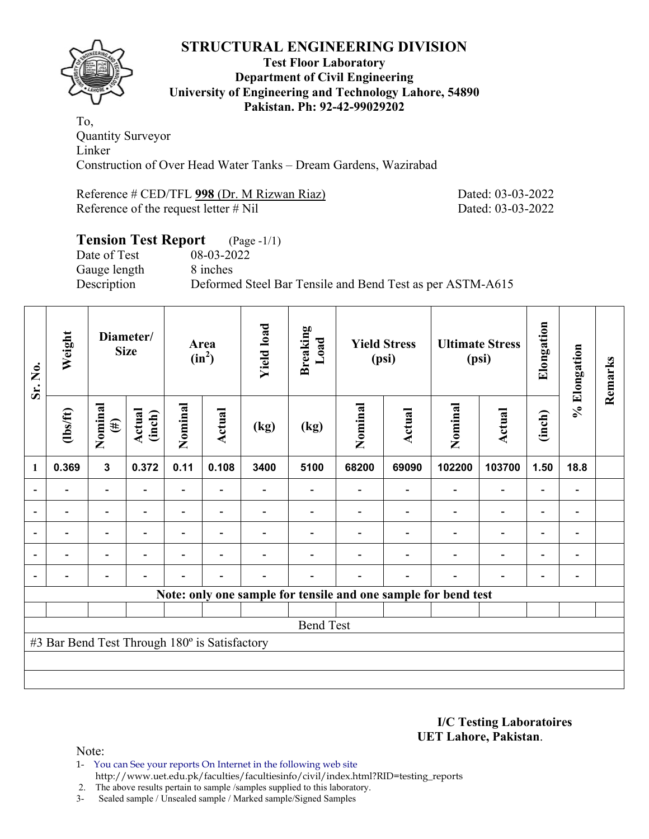

#### **Test Floor Laboratory Department of Civil Engineering University of Engineering and Technology Lahore, 54890 Pakistan. Ph: 92-42-99029202**

To, Quantity Surveyor Linker Construction of Over Head Water Tanks – Dream Gardens, Wazirabad

Reference # CED/TFL **998** (Dr. M Rizwan Riaz) Dated: 03-03-2022 Reference of the request letter # Nil Dated: 03-03-2022

# **Tension Test Report** (Page -1/1) Date of Test 08-03-2022 Gauge length 8 inches Description Deformed Steel Bar Tensile and Bend Test as per ASTM-A615

| Sr. No.                  | Weight                                        | Diameter/<br><b>Size</b> |                  | Area<br>$(in^2)$         |                          | <b>Yield load</b> | <b>Breaking</b><br>Load | <b>Yield Stress</b><br>(psi) |        | <b>Ultimate Stress</b><br>(psi)                                |                          | Elongation               | % Elongation                 | Remarks |
|--------------------------|-----------------------------------------------|--------------------------|------------------|--------------------------|--------------------------|-------------------|-------------------------|------------------------------|--------|----------------------------------------------------------------|--------------------------|--------------------------|------------------------------|---------|
|                          | (1bs/ft)                                      | Nominal<br>$(\#)$        | Actual<br>(inch) | Nominal                  | <b>Actual</b>            | (kg)              | (kg)                    | Nominal                      | Actual | Nominal                                                        | Actual                   | (inch)                   |                              |         |
| 1                        | 0.369                                         | $\mathbf{3}$             | 0.372            | 0.11                     | 0.108                    | 3400              | 5100                    | 68200                        | 69090  | 102200                                                         | 103700                   | 1.50                     | 18.8                         |         |
|                          |                                               | $\overline{\phantom{0}}$ |                  | Ξ.                       |                          |                   |                         |                              |        |                                                                | $\overline{\phantom{0}}$ | $\overline{\phantom{0}}$ |                              |         |
| $\blacksquare$           |                                               | Ξ.                       | $\blacksquare$   | $\overline{\phantom{0}}$ | $\overline{\phantom{0}}$ |                   |                         |                              |        | ÷                                                              | $\overline{a}$           | $\overline{\phantom{0}}$ |                              |         |
|                          |                                               | $\blacksquare$           |                  |                          | $\overline{\phantom{0}}$ |                   |                         |                              |        |                                                                | $\overline{\phantom{0}}$ | $\overline{\phantom{0}}$ |                              |         |
| $\overline{a}$           |                                               | $\overline{\phantom{0}}$ |                  |                          | $\overline{\phantom{0}}$ |                   |                         |                              |        |                                                                | $\overline{a}$           | $\overline{\phantom{0}}$ | $\overline{\phantom{0}}$     |         |
| $\overline{\phantom{0}}$ |                                               | $\overline{\phantom{0}}$ |                  |                          |                          |                   |                         |                              |        | ٠                                                              | $\overline{\phantom{0}}$ | $\overline{\phantom{0}}$ | $\qquad \qquad \blacksquare$ |         |
|                          |                                               |                          |                  |                          |                          |                   |                         |                              |        | Note: only one sample for tensile and one sample for bend test |                          |                          |                              |         |
|                          |                                               |                          |                  |                          |                          |                   |                         |                              |        |                                                                |                          |                          |                              |         |
|                          | <b>Bend Test</b>                              |                          |                  |                          |                          |                   |                         |                              |        |                                                                |                          |                          |                              |         |
|                          | #3 Bar Bend Test Through 180° is Satisfactory |                          |                  |                          |                          |                   |                         |                              |        |                                                                |                          |                          |                              |         |
|                          |                                               |                          |                  |                          |                          |                   |                         |                              |        |                                                                |                          |                          |                              |         |
|                          |                                               |                          |                  |                          |                          |                   |                         |                              |        |                                                                |                          |                          |                              |         |

**I/C Testing Laboratoires UET Lahore, Pakistan**.

- 1- You can See your reports On Internet in the following web site http://www.uet.edu.pk/faculties/facultiesinfo/civil/index.html?RID=testing\_reports
- 2. The above results pertain to sample /samples supplied to this laboratory.
- 3- Sealed sample / Unsealed sample / Marked sample/Signed Samples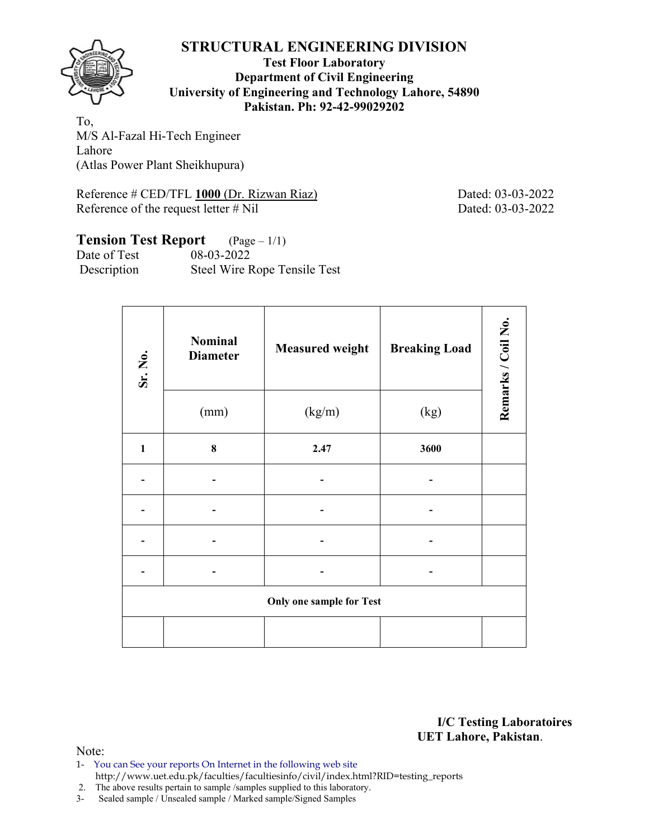

#### **Test Floor Laboratory Department of Civil Engineering University of Engineering and Technology Lahore, 54890 Pakistan. Ph: 92-42-99029202**

To, M/S Al-Fazal Hi-Tech Engineer Lahore (Atlas Power Plant Sheikhupura)

Reference # CED/TFL 1000 (Dr. Rizwan Riaz) Dated: 03-03-2022 Reference of the request letter # Nil Dated: 03-03-2022

# **Tension Test Report** (Page – 1/1)

| Date of Test | 08-03-2022                   |
|--------------|------------------------------|
| Description  | Steel Wire Rope Tensile Test |

| Sr. No.      | <b>Nominal</b><br><b>Diameter</b> | <b>Measured weight</b>          | <b>Breaking Load</b> | Remarks / Coil No. |
|--------------|-----------------------------------|---------------------------------|----------------------|--------------------|
|              | (mm)                              | (kg/m)                          | (kg)                 |                    |
| $\mathbf{1}$ | $\bf{8}$                          | 2.47                            | 3600                 |                    |
|              |                                   |                                 |                      |                    |
|              |                                   |                                 |                      |                    |
|              |                                   |                                 |                      |                    |
|              |                                   |                                 |                      |                    |
|              |                                   | <b>Only one sample for Test</b> |                      |                    |
|              |                                   |                                 |                      |                    |

**I/C Testing Laboratoires UET Lahore, Pakistan**.

- 1- You can See your reports On Internet in the following web site http://www.uet.edu.pk/faculties/facultiesinfo/civil/index.html?RID=testing\_reports
- 2. The above results pertain to sample /samples supplied to this laboratory.
- 3- Sealed sample / Unsealed sample / Marked sample/Signed Samples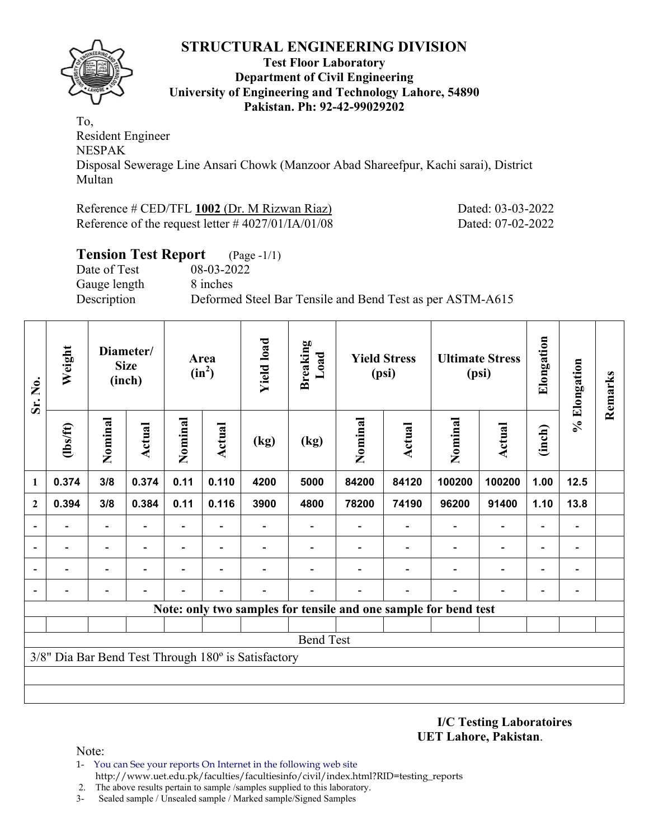

#### **Test Floor Laboratory Department of Civil Engineering University of Engineering and Technology Lahore, 54890 Pakistan. Ph: 92-42-99029202**

To, Resident Engineer NESPAK Disposal Sewerage Line Ansari Chowk (Manzoor Abad Shareefpur, Kachi sarai), District Multan

Reference # CED/TFL 1002 (Dr. M Rizwan Riaz) Dated: 03-03-2022 Reference of the request letter # 4027/01/IA/01/08 Dated: 07-02-2022

| <b>Tension Test Report</b> (Page -1/1)                                   |  |
|--------------------------------------------------------------------------|--|
| Date of Test<br>08-03-2022                                               |  |
| 8 inches<br>Gauge length                                                 |  |
| Description<br>Deformed Steel Bar Tensile and Bend Test as per ASTM-A615 |  |

| Sr. No.                  | Weight                   |                          | Diameter/<br><b>Size</b><br>(inch) |                              | Area<br>$(in^2)$         |                                                     | <b>Breaking</b><br>Load                                         |                          | <b>Yield Stress</b><br>(psi) |                          | <b>Ultimate Stress</b><br>(psi) | Elongation               | % Elongation             | Remarks |
|--------------------------|--------------------------|--------------------------|------------------------------------|------------------------------|--------------------------|-----------------------------------------------------|-----------------------------------------------------------------|--------------------------|------------------------------|--------------------------|---------------------------------|--------------------------|--------------------------|---------|
|                          | (lbs/ft)                 | Nominal                  | <b>Actual</b>                      | Nominal                      | Actual                   | (kg)                                                | (kg)                                                            | Nominal                  | <b>Actual</b>                | Nominal                  | <b>Actual</b>                   | (inch)                   |                          |         |
| 1                        | 0.374                    | 3/8                      | 0.374                              | 0.11                         | 0.110                    | 4200                                                | 5000                                                            | 84200                    | 84120                        | 100200                   | 100200                          | 1.00                     | 12.5                     |         |
| $\mathbf{2}$             | 0.394                    | 3/8                      | 0.384                              | 0.11                         | 0.116                    | 3900                                                | 4800                                                            | 78200                    | 74190                        | 96200                    | 91400                           | 1.10                     | 13.8                     |         |
|                          |                          |                          |                                    | $\overline{\phantom{0}}$     |                          |                                                     |                                                                 |                          |                              |                          | $\overline{\phantom{0}}$        | $\overline{\phantom{a}}$ | $\overline{\phantom{0}}$ |         |
|                          | $\overline{\phantom{0}}$ | $\overline{a}$           |                                    | $\qquad \qquad \blacksquare$ | $\overline{\phantom{a}}$ |                                                     | $\overline{\phantom{0}}$                                        | $\overline{\phantom{0}}$ | $\qquad \qquad \blacksquare$ | $\overline{\phantom{0}}$ | $\overline{\phantom{a}}$        | $\blacksquare$           | $\blacksquare$           |         |
|                          |                          | $\overline{\phantom{0}}$ |                                    | $\overline{\phantom{0}}$     | $\blacksquare$           |                                                     |                                                                 |                          |                              |                          | $\overline{\phantom{0}}$        | $\overline{\phantom{a}}$ | $\overline{\phantom{a}}$ |         |
| $\overline{\phantom{0}}$ |                          |                          |                                    |                              |                          |                                                     |                                                                 |                          |                              |                          |                                 | -                        |                          |         |
|                          |                          |                          |                                    |                              |                          |                                                     | Note: only two samples for tensile and one sample for bend test |                          |                              |                          |                                 |                          |                          |         |
|                          |                          |                          |                                    |                              |                          |                                                     |                                                                 |                          |                              |                          |                                 |                          |                          |         |
|                          |                          |                          |                                    |                              |                          |                                                     | <b>Bend Test</b>                                                |                          |                              |                          |                                 |                          |                          |         |
|                          |                          |                          |                                    |                              |                          | 3/8" Dia Bar Bend Test Through 180° is Satisfactory |                                                                 |                          |                              |                          |                                 |                          |                          |         |
|                          |                          |                          |                                    |                              |                          |                                                     |                                                                 |                          |                              |                          |                                 |                          |                          |         |
|                          |                          |                          |                                    |                              |                          |                                                     |                                                                 |                          |                              |                          |                                 |                          |                          |         |

**I/C Testing Laboratoires UET Lahore, Pakistan**.

- 1- You can See your reports On Internet in the following web site http://www.uet.edu.pk/faculties/facultiesinfo/civil/index.html?RID=testing\_reports
- 2. The above results pertain to sample /samples supplied to this laboratory.
- 3- Sealed sample / Unsealed sample / Marked sample/Signed Samples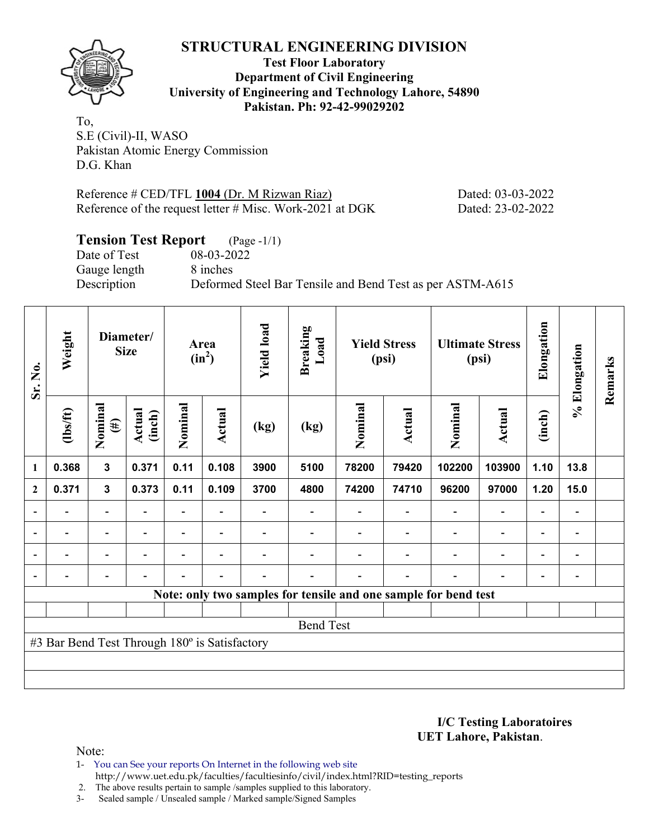**Test Floor Laboratory Department of Civil Engineering University of Engineering and Technology Lahore, 54890 Pakistan. Ph: 92-42-99029202** 

To, S.E (Civil)-II, WASO Pakistan Atomic Energy Commission D.G. Khan

Reference # CED/TFL 1004 (Dr. M Rizwan Riaz) Dated: 03-03-2022 Reference of the request letter # Misc. Work-2021 at DGK Dated: 23-02-2022

# **Tension Test Report** (Page -1/1)

Date of Test 08-03-2022 Gauge length 8 inches

Description Deformed Steel Bar Tensile and Bend Test as per ASTM-A615

| Sr. No.                  | Weight                                        |                          | Diameter/<br><b>Size</b> |                          | Area<br>$(in^2)$         |                          | <b>Breaking</b><br>Load |         | <b>Yield Stress</b><br>(psi) |                                                                 | <b>Ultimate Stress</b><br>(psi) | Elongation               | % Elongation                 | Remarks |
|--------------------------|-----------------------------------------------|--------------------------|--------------------------|--------------------------|--------------------------|--------------------------|-------------------------|---------|------------------------------|-----------------------------------------------------------------|---------------------------------|--------------------------|------------------------------|---------|
|                          | $\frac{2}{10}$                                | Nominal<br>$(\#)$        | Actual<br>(inch)         | Nominal                  | <b>Actual</b>            | (kg)                     | (kg)                    | Nominal | Actual                       | Nominal                                                         | <b>Actual</b>                   | (inch)                   |                              |         |
| $\mathbf{1}$             | 0.368                                         | $\overline{\mathbf{3}}$  | 0.371                    | 0.11                     | 0.108                    | 3900                     | 5100                    | 78200   | 79420                        | 102200                                                          | 103900                          | 1.10                     | 13.8                         |         |
| $\mathbf{2}$             | 0.371                                         | $\mathbf 3$              | 0.373                    | 0.11                     | 0.109                    | 3700                     | 4800                    | 74200   | 74710                        | 96200                                                           | 97000                           | 1.20                     | 15.0                         |         |
|                          |                                               | $\overline{\phantom{0}}$ |                          |                          |                          |                          |                         |         |                              |                                                                 | $\overline{\phantom{0}}$        | $\overline{\phantom{a}}$ |                              |         |
| $\overline{\phantom{a}}$ | $\overline{\phantom{0}}$                      | $\blacksquare$           | $\overline{\phantom{a}}$ | $\overline{\phantom{0}}$ | $\overline{\phantom{a}}$ | $\overline{\phantom{0}}$ |                         |         | $\overline{\phantom{a}}$     | $\overline{\phantom{a}}$                                        | $\overline{\phantom{a}}$        | $\overline{\phantom{a}}$ | $\overline{\phantom{a}}$     |         |
| $\overline{a}$           | -                                             | $\overline{\phantom{0}}$ | $\overline{\phantom{0}}$ | -                        | $\overline{\phantom{0}}$ |                          |                         |         |                              | ٠                                                               | $\overline{\phantom{0}}$        | $\overline{\phantom{0}}$ | $\qquad \qquad \blacksquare$ |         |
|                          | -                                             | Ξ.                       | $\overline{\phantom{0}}$ | $\overline{\phantom{0}}$ | $\overline{\phantom{a}}$ | $\overline{\phantom{0}}$ |                         |         | $\overline{\phantom{0}}$     | $\blacksquare$                                                  | $\blacksquare$                  | $\overline{\phantom{a}}$ | $\qquad \qquad \blacksquare$ |         |
|                          |                                               |                          |                          |                          |                          |                          |                         |         |                              | Note: only two samples for tensile and one sample for bend test |                                 |                          |                              |         |
|                          |                                               |                          |                          |                          |                          |                          |                         |         |                              |                                                                 |                                 |                          |                              |         |
|                          |                                               |                          |                          |                          |                          |                          | <b>Bend Test</b>        |         |                              |                                                                 |                                 |                          |                              |         |
|                          | #3 Bar Bend Test Through 180° is Satisfactory |                          |                          |                          |                          |                          |                         |         |                              |                                                                 |                                 |                          |                              |         |
|                          |                                               |                          |                          |                          |                          |                          |                         |         |                              |                                                                 |                                 |                          |                              |         |
|                          |                                               |                          |                          |                          |                          |                          |                         |         |                              |                                                                 |                                 |                          |                              |         |

**I/C Testing Laboratoires UET Lahore, Pakistan**.

Note:

1- You can See your reports On Internet in the following web site http://www.uet.edu.pk/faculties/facultiesinfo/civil/index.html?RID=testing\_reports

2. The above results pertain to sample /samples supplied to this laboratory.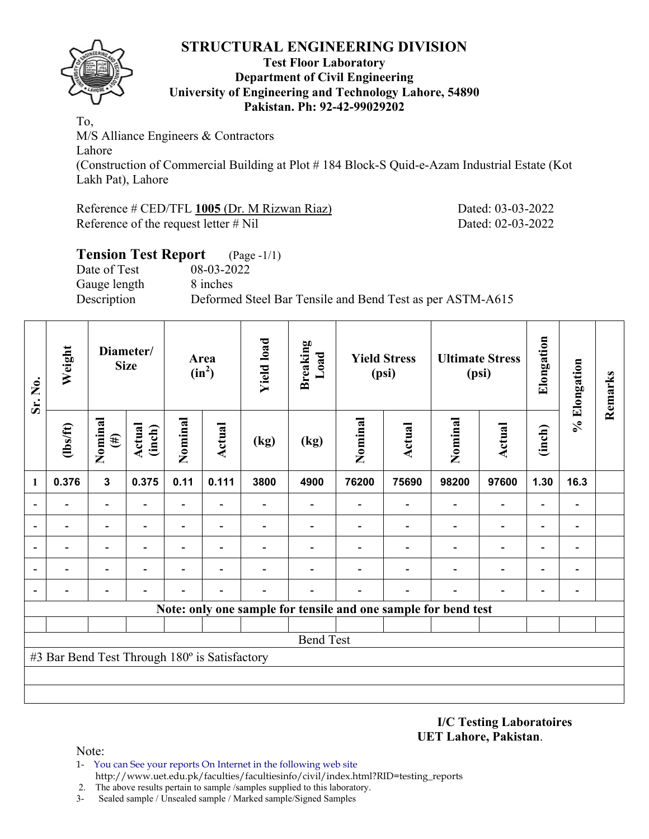

#### **Test Floor Laboratory Department of Civil Engineering University of Engineering and Technology Lahore, 54890 Pakistan. Ph: 92-42-99029202**

To, M/S Alliance Engineers & Contractors Lahore (Construction of Commercial Building at Plot # 184 Block-S Quid-e-Azam Industrial Estate (Kot Lakh Pat), Lahore

Reference # CED/TFL 1005 (Dr. M Rizwan Riaz) Dated: 03-03-2022 Reference of the request letter # Nil Dated: 02-03-2022

# **Tension Test Report** (Page -1/1) Date of Test 08-03-2022 Gauge length 8 inches Description Deformed Steel Bar Tensile and Bend Test as per ASTM-A615

| Sr. No.        | Weight                                        |                          | Diameter/<br><b>Size</b> |                          | Area<br>$(in^2)$         |      | <b>Breaking</b><br>Load                                        |         | <b>Yield Stress</b><br>(psi) |         | <b>Ultimate Stress</b><br>(psi) | Elongation               | % Elongation             | Remarks |
|----------------|-----------------------------------------------|--------------------------|--------------------------|--------------------------|--------------------------|------|----------------------------------------------------------------|---------|------------------------------|---------|---------------------------------|--------------------------|--------------------------|---------|
|                | $\frac{2}{10}$                                | Nominal<br>$(\#)$        | Actual<br>(inch)         | Nominal                  | <b>Actual</b>            | (kg) | (kg)                                                           | Nominal | <b>Actual</b>                | Nominal | <b>Actual</b>                   | (inch)                   |                          |         |
| 1              | 0.376                                         | $\mathbf{3}$             | 0.375                    | 0.11                     | 0.111                    | 3800 | 4900                                                           | 76200   | 75690                        | 98200   | 97600                           | 1.30                     | 16.3                     |         |
| $\blacksquare$ |                                               | $\blacksquare$           |                          |                          |                          |      |                                                                |         |                              |         | $\overline{\phantom{0}}$        | $\overline{a}$           |                          |         |
| $\blacksquare$ |                                               | $\blacksquare$           |                          |                          |                          |      |                                                                |         |                              |         | $\overline{\phantom{0}}$        | $\overline{a}$           |                          |         |
| ٠              |                                               | $\overline{\phantom{0}}$ |                          | $\overline{a}$           |                          |      |                                                                |         |                              |         | $\overline{\phantom{0}}$        | $\overline{a}$           |                          |         |
|                |                                               | $\overline{\phantom{0}}$ | $\blacksquare$           | $\overline{\phantom{0}}$ | $\overline{\phantom{0}}$ |      |                                                                |         |                              |         | $\overline{\phantom{0}}$        | $\overline{\phantom{0}}$ | $\overline{\phantom{0}}$ |         |
| $\overline{a}$ |                                               | $\overline{\phantom{0}}$ |                          |                          |                          |      |                                                                |         |                              |         |                                 | $\overline{\phantom{0}}$ |                          |         |
|                |                                               |                          |                          |                          |                          |      | Note: only one sample for tensile and one sample for bend test |         |                              |         |                                 |                          |                          |         |
|                |                                               |                          |                          |                          |                          |      |                                                                |         |                              |         |                                 |                          |                          |         |
|                |                                               |                          |                          |                          |                          |      | <b>Bend Test</b>                                               |         |                              |         |                                 |                          |                          |         |
|                | #3 Bar Bend Test Through 180° is Satisfactory |                          |                          |                          |                          |      |                                                                |         |                              |         |                                 |                          |                          |         |
|                |                                               |                          |                          |                          |                          |      |                                                                |         |                              |         |                                 |                          |                          |         |
|                |                                               |                          |                          |                          |                          |      |                                                                |         |                              |         |                                 |                          |                          |         |

**I/C Testing Laboratoires UET Lahore, Pakistan**.

- 1- You can See your reports On Internet in the following web site http://www.uet.edu.pk/faculties/facultiesinfo/civil/index.html?RID=testing\_reports
- 2. The above results pertain to sample /samples supplied to this laboratory.
- 3- Sealed sample / Unsealed sample / Marked sample/Signed Samples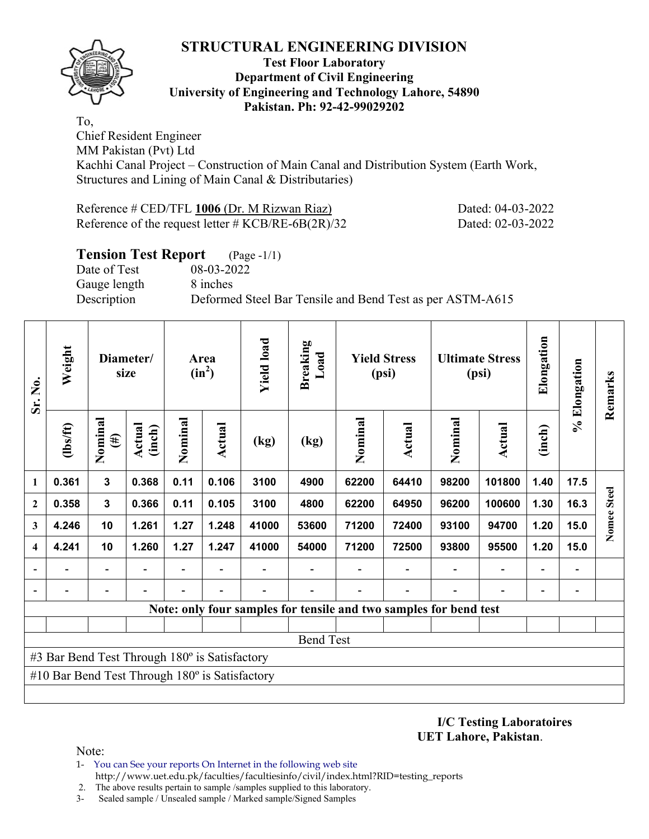

#### **Test Floor Laboratory Department of Civil Engineering University of Engineering and Technology Lahore, 54890 Pakistan. Ph: 92-42-99029202**

To, Chief Resident Engineer MM Pakistan (Pvt) Ltd Kachhi Canal Project – Construction of Main Canal and Distribution System (Earth Work, Structures and Lining of Main Canal & Distributaries)

Reference # CED/TFL 1006 (Dr. M Rizwan Riaz) Dated: 04-03-2022 Reference of the request letter # KCB/RE-6B(2R)/32 Dated: 02-03-2022

| <b>Tension Test Report</b> (Page -1/1) |                                                           |
|----------------------------------------|-----------------------------------------------------------|
| Date of Test                           | 08-03-2022                                                |
| Gauge length                           | 8 inches                                                  |
| Description                            | Deformed Steel Bar Tensile and Bend Test as per ASTM-A615 |
|                                        |                                                           |

| Sr. No.          | Weight                                                |                          | Diameter/<br>size |         | Area<br>$(in^2)$         | <b>Yield load</b> | <b>Breaking</b><br>Load |         | <b>Yield Stress</b><br>(psi)                                      |                          | <b>Ultimate Stress</b><br>(psi) | Elongation               | % Elongation             | Remarks     |
|------------------|-------------------------------------------------------|--------------------------|-------------------|---------|--------------------------|-------------------|-------------------------|---------|-------------------------------------------------------------------|--------------------------|---------------------------------|--------------------------|--------------------------|-------------|
|                  | (1bs/ft)                                              | Nominal<br>$(\#)$        | Actual<br>(inch)  | Nominal | <b>Actual</b>            | (kg)              | (kg)                    | Nominal | <b>Actual</b>                                                     | Nominal                  | <b>Actual</b>                   | (inch)                   |                          |             |
| 1                | 0.361                                                 | $\mathbf{3}$             | 0.368             | 0.11    | 0.106                    | 3100              | 4900                    | 62200   | 64410                                                             | 98200                    | 101800                          | 1.40                     | 17.5                     |             |
| $\boldsymbol{2}$ | 0.358                                                 | $\mathbf 3$              | 0.366             | 0.11    | 0.105                    | 3100              | 4800                    | 62200   | 64950                                                             | 96200                    | 100600                          | 1.30                     | 16.3                     | Nomee Steel |
| 3                | 4.246                                                 | 10                       | 1.261             | 1.27    | 1.248                    | 41000             | 53600                   | 71200   | 72400                                                             | 93100                    | 94700                           | 1.20                     | 15.0                     |             |
| 4                | 4.241                                                 | 10                       | 1.260             | 1.27    | 1.247                    | 41000             | 54000                   | 71200   | 72500                                                             | 93800                    | 95500                           | 1.20                     | 15.0                     |             |
|                  | $\overline{\phantom{0}}$                              | $\overline{\phantom{a}}$ |                   | ۰       | $\blacksquare$           |                   | ۰                       |         | $\blacksquare$                                                    | $\overline{\phantom{a}}$ | $\overline{a}$                  | $\overline{\phantom{a}}$ | $\blacksquare$           |             |
|                  | $\overline{\phantom{0}}$                              | $\overline{\phantom{a}}$ |                   | Ξ.      | $\overline{\phantom{a}}$ |                   |                         |         | $\overline{\phantom{0}}$                                          | $\overline{\phantom{0}}$ | $\qquad \qquad \blacksquare$    | $\overline{a}$           | $\overline{\phantom{0}}$ |             |
|                  |                                                       |                          |                   |         |                          |                   |                         |         | Note: only four samples for tensile and two samples for bend test |                          |                                 |                          |                          |             |
|                  |                                                       |                          |                   |         |                          |                   |                         |         |                                                                   |                          |                                 |                          |                          |             |
|                  |                                                       |                          |                   |         |                          |                   | <b>Bend Test</b>        |         |                                                                   |                          |                                 |                          |                          |             |
|                  | #3 Bar Bend Test Through 180° is Satisfactory         |                          |                   |         |                          |                   |                         |         |                                                                   |                          |                                 |                          |                          |             |
|                  | #10 Bar Bend Test Through $180^\circ$ is Satisfactory |                          |                   |         |                          |                   |                         |         |                                                                   |                          |                                 |                          |                          |             |
|                  |                                                       |                          |                   |         |                          |                   |                         |         |                                                                   |                          |                                 |                          |                          |             |

**I/C Testing Laboratoires UET Lahore, Pakistan**.

- 1- You can See your reports On Internet in the following web site http://www.uet.edu.pk/faculties/facultiesinfo/civil/index.html?RID=testing\_reports
- 2. The above results pertain to sample /samples supplied to this laboratory.
- 3- Sealed sample / Unsealed sample / Marked sample/Signed Samples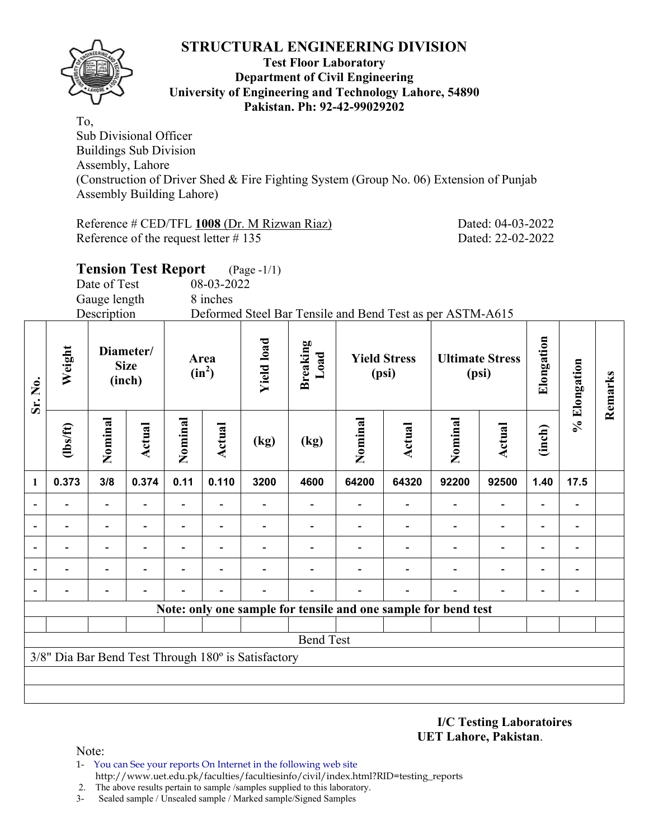

#### **Test Floor Laboratory Department of Civil Engineering University of Engineering and Technology Lahore, 54890 Pakistan. Ph: 92-42-99029202**

To, Sub Divisional Officer Buildings Sub Division Assembly, Lahore (Construction of Driver Shed & Fire Fighting System (Group No. 06) Extension of Punjab Assembly Building Lahore)

Reference # CED/TFL **1008** (Dr. M Rizwan Riaz) Dated: 04-03-2022 Reference of the request letter # 135 Dated: 22-02-2022

|                          |          |              | <b>Tension Test Report</b>         |                |                  | $(Page - 1/1)$    |                  |         |                              |                                                                |                                 |                          |              |         |
|--------------------------|----------|--------------|------------------------------------|----------------|------------------|-------------------|------------------|---------|------------------------------|----------------------------------------------------------------|---------------------------------|--------------------------|--------------|---------|
|                          |          | Date of Test |                                    |                | 08-03-2022       |                   |                  |         |                              |                                                                |                                 |                          |              |         |
|                          |          | Gauge length |                                    |                | 8 inches         |                   |                  |         |                              |                                                                |                                 |                          |              |         |
|                          |          | Description  |                                    |                |                  |                   |                  |         |                              | Deformed Steel Bar Tensile and Bend Test as per ASTM-A615      |                                 |                          |              |         |
| Sr. No.                  | Weight   |              | Diameter/<br><b>Size</b><br>(inch) |                | Area<br>$(in^2)$ | <b>Yield load</b> | Breaking<br>Load |         | <b>Yield Stress</b><br>(psi) |                                                                | <b>Ultimate Stress</b><br>(psi) | Elongation               | % Elongation | Remarks |
|                          | (lbs/ft) | Nominal      | Actual                             | Nominal        | <b>Actual</b>    | (kg)              | (kg)             | Nominal | Actual                       | Nominal                                                        | <b>Actual</b>                   | (inch)                   |              |         |
| $\mathbf{1}$             | 0.373    | 3/8          | 0.374                              | 0.11           | 0.110            | 3200              | 4600             | 64200   | 64320                        | 92200                                                          | 92500                           | 1.40                     | 17.5         |         |
| $\overline{\phantom{a}}$ |          |              |                                    |                |                  |                   |                  |         |                              |                                                                |                                 |                          |              |         |
| $\overline{\phantom{0}}$ |          |              |                                    |                |                  |                   |                  |         |                              |                                                                |                                 | $\blacksquare$           |              |         |
| $\blacksquare$           |          |              |                                    | $\overline{a}$ |                  |                   |                  |         |                              |                                                                |                                 | $\overline{\phantom{0}}$ |              |         |
|                          |          |              |                                    |                |                  |                   |                  |         |                              |                                                                |                                 |                          |              |         |
|                          |          |              |                                    |                |                  |                   |                  |         |                              |                                                                |                                 |                          |              |         |
|                          |          |              |                                    |                |                  |                   |                  |         |                              | Note: only one sample for tensile and one sample for bend test |                                 |                          |              |         |
|                          |          |              |                                    |                |                  |                   |                  |         |                              |                                                                |                                 |                          |              |         |
|                          |          |              |                                    |                |                  |                   | <b>Bend Test</b> |         |                              |                                                                |                                 |                          |              |         |

3/8" Dia Bar Bend Test Through 180º is Satisfactory

**I/C Testing Laboratoires UET Lahore, Pakistan**.

Note:

1- You can See your reports On Internet in the following web site http://www.uet.edu.pk/faculties/facultiesinfo/civil/index.html?RID=testing\_reports

2. The above results pertain to sample /samples supplied to this laboratory.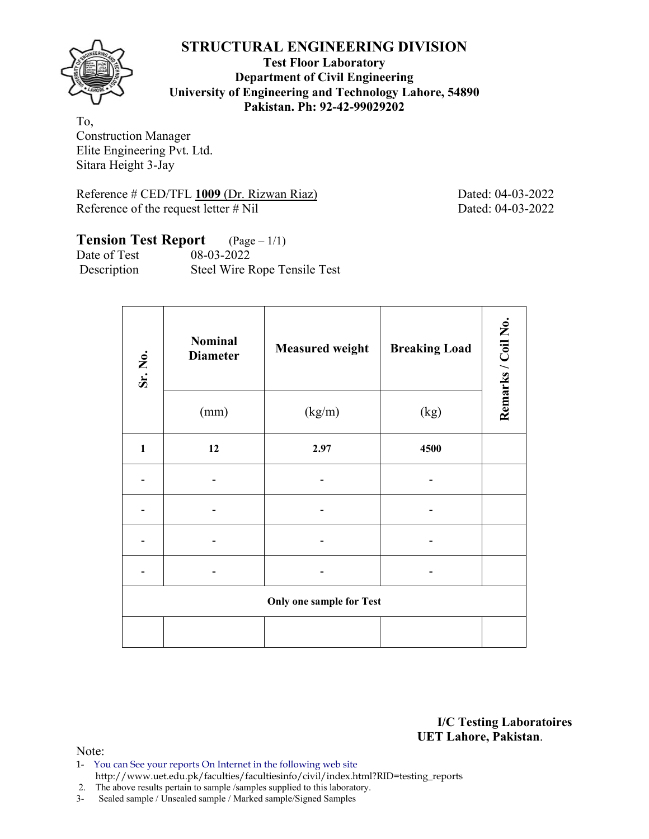

**Test Floor Laboratory Department of Civil Engineering University of Engineering and Technology Lahore, 54890 Pakistan. Ph: 92-42-99029202** 

To, Construction Manager Elite Engineering Pvt. Ltd. Sitara Height 3-Jay

Reference # CED/TFL 1009 (Dr. Rizwan Riaz) Dated: 04-03-2022 Reference of the request letter # Nil Dated: 04-03-2022

# **Tension Test Report** (Page – 1/1)<br>Date of Test 08-03-2022

Date of Test Description Steel Wire Rope Tensile Test

| Sr. No.      | <b>Nominal</b><br><b>Diameter</b> | <b>Measured weight</b>          | <b>Breaking Load</b> | Remarks / Coil No. |
|--------------|-----------------------------------|---------------------------------|----------------------|--------------------|
|              | (mm)                              | (kg/m)                          | (kg)                 |                    |
| $\mathbf{1}$ | 12                                | 2.97                            | 4500                 |                    |
|              |                                   |                                 |                      |                    |
|              |                                   |                                 |                      |                    |
|              |                                   |                                 |                      |                    |
|              |                                   |                                 |                      |                    |
|              |                                   | <b>Only one sample for Test</b> |                      |                    |
|              |                                   |                                 |                      |                    |

**I/C Testing Laboratoires UET Lahore, Pakistan**.

- 1- You can See your reports On Internet in the following web site http://www.uet.edu.pk/faculties/facultiesinfo/civil/index.html?RID=testing\_reports
- 2. The above results pertain to sample /samples supplied to this laboratory.
- 3- Sealed sample / Unsealed sample / Marked sample/Signed Samples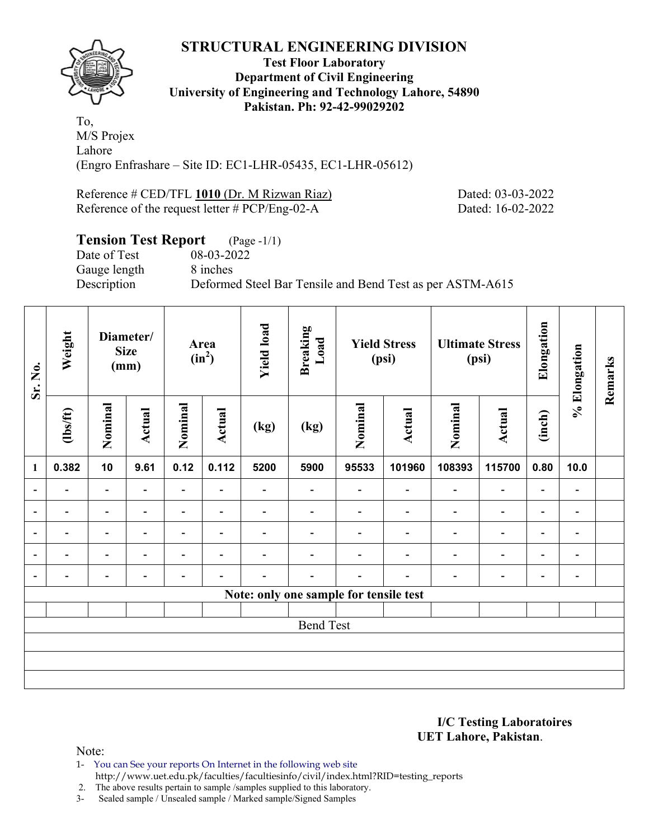

#### **Test Floor Laboratory Department of Civil Engineering University of Engineering and Technology Lahore, 54890 Pakistan. Ph: 92-42-99029202**

To, M/S Projex Lahore (Engro Enfrashare – Site ID: EC1-LHR-05435, EC1-LHR-05612)

Reference # CED/TFL 1010 (Dr. M Rizwan Riaz) Dated: 03-03-2022 Reference of the request letter # PCP/Eng-02-A Dated: 16-02-2022

# **Tension Test Report** (Page -1/1)

Date of Test 08-03-2022 Gauge length 8 inches

Description Deformed Steel Bar Tensile and Bend Test as per ASTM-A615

| Sr. No.                  | Weight                   |                          | Diameter/<br><b>Size</b><br>(mm) |                          | Area<br>$(in^2)$         |                          | <b>Breaking</b><br>Load                |                          | <b>Yield Stress</b><br>(psi) |                          | <b>Ultimate Stress</b><br>(psi) | Elongation               | % Elongation                 | Remarks |
|--------------------------|--------------------------|--------------------------|----------------------------------|--------------------------|--------------------------|--------------------------|----------------------------------------|--------------------------|------------------------------|--------------------------|---------------------------------|--------------------------|------------------------------|---------|
|                          | $\frac{2}{10}$           | Nominal                  | Actual                           | Nominal                  | Actual                   | (kg)                     | (kg)                                   | Nominal                  | Actual                       | Nominal                  | Actual                          | (inch)                   |                              |         |
| $\mathbf{1}$             | 0.382                    | 10                       | 9.61                             | 0.12                     | 0.112                    | 5200                     | 5900                                   | 95533                    | 101960                       | 108393                   | 115700                          | 0.80                     | 10.0                         |         |
| $\overline{\phantom{a}}$ | $\overline{\phantom{0}}$ | $\overline{\phantom{a}}$ |                                  | $\overline{\phantom{0}}$ | $\overline{\phantom{0}}$ | $\overline{\phantom{0}}$ | $\overline{\phantom{0}}$               |                          | $\blacksquare$               | $\blacksquare$           | $\qquad \qquad \blacksquare$    | $\overline{\phantom{a}}$ | $\qquad \qquad \blacksquare$ |         |
|                          | $\overline{\phantom{0}}$ | $\overline{\phantom{a}}$ |                                  | $\overline{\phantom{0}}$ | $\overline{\phantom{a}}$ | $\overline{\phantom{0}}$ | $\overline{\phantom{0}}$               | $\overline{\phantom{0}}$ | $\overline{\phantom{0}}$     | $\overline{\phantom{0}}$ | $\overline{\phantom{0}}$        | $\overline{\phantom{a}}$ | $\overline{\phantom{0}}$     |         |
|                          | $\overline{\phantom{0}}$ | $\overline{\phantom{0}}$ |                                  | $\overline{\phantom{0}}$ | $\overline{\phantom{a}}$ | $\overline{\phantom{0}}$ |                                        |                          | $\overline{\phantom{0}}$     | $\overline{\phantom{0}}$ | $\qquad \qquad \blacksquare$    | $\overline{a}$           | $\qquad \qquad \blacksquare$ |         |
|                          | $\overline{\phantom{0}}$ | $\overline{\phantom{0}}$ |                                  | $\overline{\phantom{0}}$ | ٠                        | $\overline{\phantom{0}}$ |                                        |                          | $\overline{\phantom{0}}$     | ٠                        | $\qquad \qquad \blacksquare$    | $\overline{\phantom{a}}$ | $\blacksquare$               |         |
| $\overline{\phantom{0}}$ | $\overline{\phantom{0}}$ | $\overline{\phantom{0}}$ |                                  | -                        | ٠                        |                          |                                        |                          |                              |                          | $\overline{\phantom{0}}$        | $\overline{\phantom{0}}$ | $\qquad \qquad \blacksquare$ |         |
|                          |                          |                          |                                  |                          |                          |                          | Note: only one sample for tensile test |                          |                              |                          |                                 |                          |                              |         |
|                          |                          |                          |                                  |                          |                          |                          |                                        |                          |                              |                          |                                 |                          |                              |         |
|                          |                          |                          |                                  |                          |                          |                          | <b>Bend Test</b>                       |                          |                              |                          |                                 |                          |                              |         |
|                          |                          |                          |                                  |                          |                          |                          |                                        |                          |                              |                          |                                 |                          |                              |         |
|                          |                          |                          |                                  |                          |                          |                          |                                        |                          |                              |                          |                                 |                          |                              |         |
|                          |                          |                          |                                  |                          |                          |                          |                                        |                          |                              |                          |                                 |                          |                              |         |

#### **I/C Testing Laboratoires UET Lahore, Pakistan**.

Note:

1- You can See your reports On Internet in the following web site http://www.uet.edu.pk/faculties/facultiesinfo/civil/index.html?RID=testing\_reports

2. The above results pertain to sample /samples supplied to this laboratory.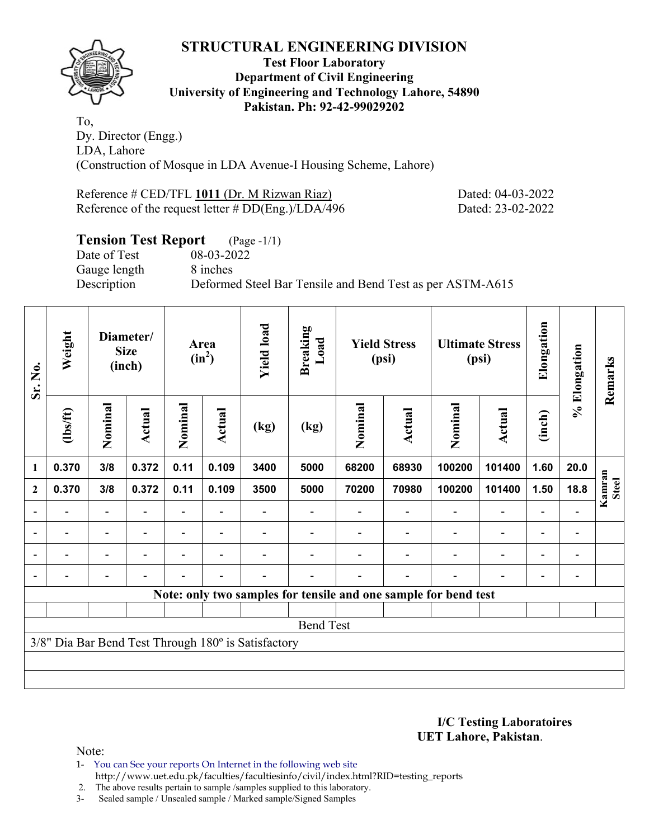

#### **Test Floor Laboratory Department of Civil Engineering University of Engineering and Technology Lahore, 54890 Pakistan. Ph: 92-42-99029202**

To, Dy. Director (Engg.) LDA, Lahore (Construction of Mosque in LDA Avenue-I Housing Scheme, Lahore)

Reference # CED/TFL 1011 (Dr. M Rizwan Riaz) Dated: 04-03-2022 Reference of the request letter # DD(Eng.)/LDA/496 Dated: 23-02-2022

# **Tension Test Report** (Page -1/1)

Date of Test 08-03-2022 Gauge length 8 inches

Description Deformed Steel Bar Tensile and Bend Test as per ASTM-A615

| Sr. No.          | Weight                   |                          | Diameter/<br><b>Size</b><br>(inch) |                          | Area<br>$(in^2)$ |                                                     | <b>Breaking</b><br>Load |         | <b>Yield Stress</b><br>(psi) |                                                                 | <b>Ultimate Stress</b><br>(psi) | Elongation               | % Elongation                 | Remarks         |
|------------------|--------------------------|--------------------------|------------------------------------|--------------------------|------------------|-----------------------------------------------------|-------------------------|---------|------------------------------|-----------------------------------------------------------------|---------------------------------|--------------------------|------------------------------|-----------------|
|                  | (1bs/ft)                 | Nominal                  | Actual                             | Nominal                  | <b>Actual</b>    | (kg)                                                | (kg)                    | Nominal | <b>Actual</b>                | Nominal                                                         | <b>Actual</b>                   | (inch)                   |                              |                 |
| $\mathbf{1}$     | 0.370                    | 3/8                      | 0.372                              | 0.11                     | 0.109            | 3400                                                | 5000                    | 68200   | 68930                        | 100200                                                          | 101400                          | 1.60                     | 20.0                         |                 |
| $\boldsymbol{2}$ | 0.370                    | 3/8                      | 0.372                              | 0.11                     | 0.109            | 3500                                                | 5000                    | 70200   | 70980                        | 100200                                                          | 101400                          | 1.50                     | 18.8                         | Kamran<br>Steel |
|                  |                          |                          |                                    |                          |                  |                                                     |                         |         |                              |                                                                 | $\overline{\phantom{0}}$        | $\overline{\phantom{0}}$ |                              |                 |
|                  | $\overline{\phantom{0}}$ | $\overline{\phantom{a}}$ |                                    | $\blacksquare$           | $\blacksquare$   |                                                     |                         |         |                              | $\blacksquare$                                                  | $\overline{\phantom{a}}$        | $\blacksquare$           | $\qquad \qquad \blacksquare$ |                 |
|                  | $\overline{\phantom{0}}$ | $\overline{\phantom{0}}$ |                                    |                          | $\blacksquare$   |                                                     |                         |         |                              | $\overline{\phantom{0}}$                                        | $\overline{\phantom{0}}$        | $\overline{\phantom{0}}$ | $\blacksquare$               |                 |
|                  | $\overline{\phantom{0}}$ | $\overline{\phantom{a}}$ | $\overline{\phantom{0}}$           | $\overline{\phantom{0}}$ | $\blacksquare$   |                                                     |                         |         | $\overline{\phantom{0}}$     | $\overline{\phantom{0}}$                                        | $\overline{\phantom{a}}$        | $\overline{\phantom{a}}$ | $\overline{\phantom{a}}$     |                 |
|                  |                          |                          |                                    |                          |                  |                                                     |                         |         |                              | Note: only two samples for tensile and one sample for bend test |                                 |                          |                              |                 |
|                  |                          |                          |                                    |                          |                  |                                                     |                         |         |                              |                                                                 |                                 |                          |                              |                 |
|                  |                          |                          |                                    |                          |                  |                                                     | <b>Bend Test</b>        |         |                              |                                                                 |                                 |                          |                              |                 |
|                  |                          |                          |                                    |                          |                  | 3/8" Dia Bar Bend Test Through 180° is Satisfactory |                         |         |                              |                                                                 |                                 |                          |                              |                 |
|                  |                          |                          |                                    |                          |                  |                                                     |                         |         |                              |                                                                 |                                 |                          |                              |                 |
|                  |                          |                          |                                    |                          |                  |                                                     |                         |         |                              |                                                                 |                                 |                          |                              |                 |

**I/C Testing Laboratoires UET Lahore, Pakistan**.

Note:

1- You can See your reports On Internet in the following web site http://www.uet.edu.pk/faculties/facultiesinfo/civil/index.html?RID=testing\_reports

2. The above results pertain to sample /samples supplied to this laboratory.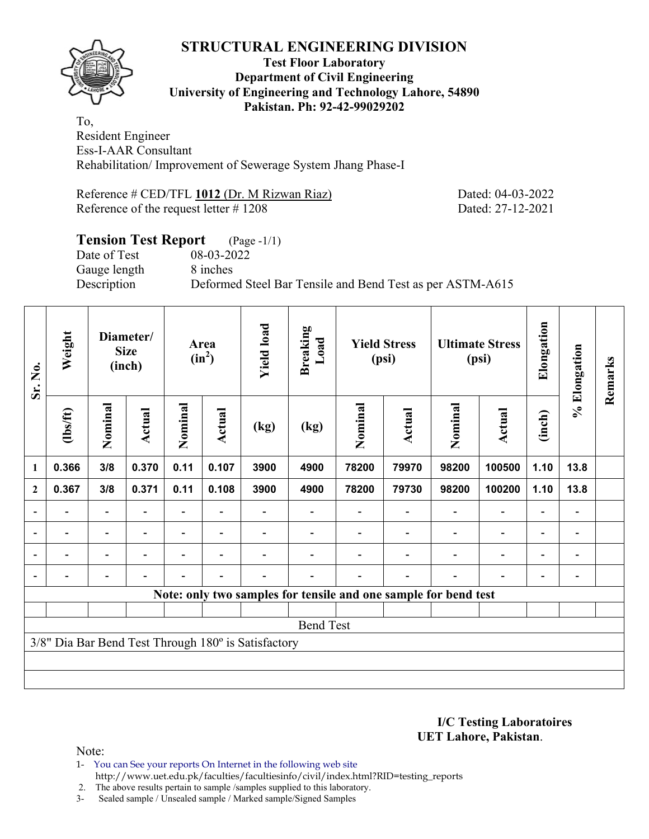

#### **Test Floor Laboratory Department of Civil Engineering University of Engineering and Technology Lahore, 54890 Pakistan. Ph: 92-42-99029202**

To, Resident Engineer Ess-I-AAR Consultant Rehabilitation/ Improvement of Sewerage System Jhang Phase-I

Reference # CED/TFL 1012 (Dr. M Rizwan Riaz) Dated: 04-03-2022 Reference of the request letter # 1208 Dated: 27-12-2021

# **Tension Test Report** (Page -1/1) Date of Test 08-03-2022 Gauge length 8 inches Description Deformed Steel Bar Tensile and Bend Test as per ASTM-A615

| Sr. No.                  | Weight         |                          | Diameter/<br><b>Size</b><br>(inch) |         | Area<br>$(in^2)$         | <b>Yield load</b>                                   | <b>Breaking</b><br>Load                                         |         | <b>Yield Stress</b><br>(psi) |         | <b>Ultimate Stress</b><br>(psi) | Elongation               | % Elongation                 | Remarks |
|--------------------------|----------------|--------------------------|------------------------------------|---------|--------------------------|-----------------------------------------------------|-----------------------------------------------------------------|---------|------------------------------|---------|---------------------------------|--------------------------|------------------------------|---------|
|                          | $\frac{2}{10}$ | Nominal                  | Actual                             | Nominal | Actual                   | (kg)                                                | (kg)                                                            | Nominal | Actual                       | Nominal | <b>Actual</b>                   | (inch)                   |                              |         |
| $\mathbf{1}$             | 0.366          | 3/8                      | 0.370                              | 0.11    | 0.107                    | 3900                                                | 4900                                                            | 78200   | 79970                        | 98200   | 100500                          | 1.10                     | 13.8                         |         |
| $\mathbf{2}$             | 0.367          | 3/8                      | 0.371                              | 0.11    | 0.108                    | 3900                                                | 4900                                                            | 78200   | 79730                        | 98200   | 100200                          | 1.10                     | 13.8                         |         |
| $\overline{\phantom{0}}$ |                |                          |                                    |         |                          |                                                     |                                                                 |         |                              |         |                                 |                          |                              |         |
| $\overline{\phantom{a}}$ |                | $\overline{\phantom{a}}$ |                                    |         | $\overline{\phantom{0}}$ |                                                     |                                                                 |         |                              |         | $\overline{a}$                  | $\overline{\phantom{0}}$ | $\qquad \qquad \blacksquare$ |         |
| $\blacksquare$           | $\blacksquare$ | $\overline{\phantom{0}}$ |                                    |         | $\blacksquare$           |                                                     |                                                                 |         |                              |         | $\overline{\phantom{0}}$        | $\overline{\phantom{0}}$ |                              |         |
|                          |                |                          |                                    |         | $\overline{\phantom{0}}$ |                                                     |                                                                 |         |                              |         | $\overline{\phantom{0}}$        | $\overline{\phantom{0}}$ |                              |         |
|                          |                |                          |                                    |         |                          |                                                     | Note: only two samples for tensile and one sample for bend test |         |                              |         |                                 |                          |                              |         |
|                          |                |                          |                                    |         |                          |                                                     |                                                                 |         |                              |         |                                 |                          |                              |         |
|                          |                |                          |                                    |         |                          |                                                     | <b>Bend Test</b>                                                |         |                              |         |                                 |                          |                              |         |
|                          |                |                          |                                    |         |                          | 3/8" Dia Bar Bend Test Through 180° is Satisfactory |                                                                 |         |                              |         |                                 |                          |                              |         |
|                          |                |                          |                                    |         |                          |                                                     |                                                                 |         |                              |         |                                 |                          |                              |         |
|                          |                |                          |                                    |         |                          |                                                     |                                                                 |         |                              |         |                                 |                          |                              |         |

**I/C Testing Laboratoires UET Lahore, Pakistan**.

Note:

1- You can See your reports On Internet in the following web site http://www.uet.edu.pk/faculties/facultiesinfo/civil/index.html?RID=testing\_reports

2. The above results pertain to sample /samples supplied to this laboratory.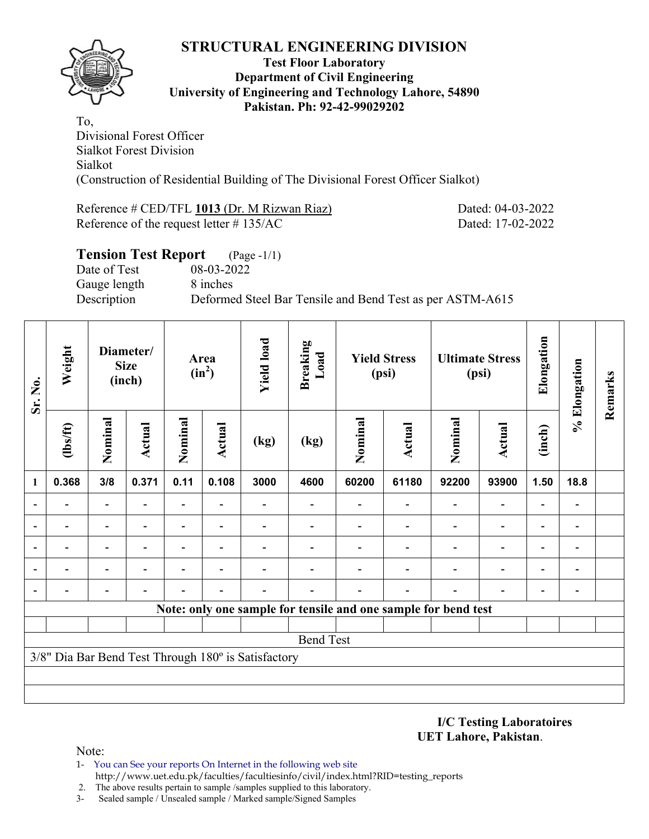

#### **Test Floor Laboratory Department of Civil Engineering University of Engineering and Technology Lahore, 54890 Pakistan. Ph: 92-42-99029202**

To, Divisional Forest Officer Sialkot Forest Division Sialkot (Construction of Residential Building of The Divisional Forest Officer Sialkot)

Reference # CED/TFL 1013 (Dr. M Rizwan Riaz) Dated: 04-03-2022 Reference of the request letter # 135/AC Dated: 17-02-2022

| <b>Tension Test Report</b> (Page -1/1) |                                                           |
|----------------------------------------|-----------------------------------------------------------|
| Date of Test                           | 08-03-2022                                                |
| Gauge length                           | 8 inches                                                  |
| Description                            | Deformed Steel Bar Tensile and Bend Test as per ASTM-A615 |

| Sr. No. | Weight         |                                                                                                              | Diameter/<br><b>Size</b><br>(inch) |                | Area<br>$(in^2)$         | <b>Yield load</b>                                   | <b>Breaking</b><br>Load |                                                                | <b>Yield Stress</b><br>(psi) |                          | <b>Ultimate Stress</b><br>(psi) | Elongation               | % Elongation                 | Remarks |
|---------|----------------|--------------------------------------------------------------------------------------------------------------|------------------------------------|----------------|--------------------------|-----------------------------------------------------|-------------------------|----------------------------------------------------------------|------------------------------|--------------------------|---------------------------------|--------------------------|------------------------------|---------|
|         | $lbsft$        | Nominal                                                                                                      | <b>Actual</b>                      | Nominal        | <b>Actual</b>            | (kg)                                                | (kg)                    | Nominal                                                        | <b>Actual</b>                | Nominal                  | <b>Actual</b>                   | (inch)                   |                              |         |
| 1       | 0.368          | 3/8                                                                                                          | 0.371                              | 0.11           | 0.108                    | 3000                                                | 4600                    | 60200                                                          | 61180                        | 92200                    | 93900                           | 1.50                     | 18.8                         |         |
|         | ۰              | $\overline{\phantom{0}}$<br>$\overline{\phantom{0}}$<br>$\overline{\phantom{0}}$<br>$\overline{\phantom{0}}$ |                                    |                | $\blacksquare$           |                                                     |                         |                                                                |                              | $\overline{\phantom{0}}$ | $\overline{\phantom{0}}$        | $\overline{\phantom{a}}$ |                              |         |
|         | $\blacksquare$ |                                                                                                              |                                    |                | $\blacksquare$           |                                                     |                         |                                                                |                              | $\blacksquare$           | $\overline{\phantom{a}}$        | Ξ.                       | $\qquad \qquad \blacksquare$ |         |
|         |                |                                                                                                              |                                    | $\blacksquare$ | $\overline{\phantom{0}}$ |                                                     |                         |                                                                |                              |                          | $\overline{\phantom{0}}$        | Ξ.                       | $\overline{a}$               |         |
|         |                |                                                                                                              |                                    |                |                          |                                                     |                         |                                                                |                              |                          | -                               | $\overline{\phantom{0}}$ | $\overline{\phantom{0}}$     |         |
|         |                |                                                                                                              |                                    |                |                          |                                                     |                         |                                                                |                              |                          | -                               | -                        | $\overline{a}$               |         |
|         |                |                                                                                                              |                                    |                |                          |                                                     |                         | Note: only one sample for tensile and one sample for bend test |                              |                          |                                 |                          |                              |         |
|         |                |                                                                                                              |                                    |                |                          |                                                     |                         |                                                                |                              |                          |                                 |                          |                              |         |
|         |                |                                                                                                              |                                    |                |                          |                                                     | <b>Bend Test</b>        |                                                                |                              |                          |                                 |                          |                              |         |
|         |                |                                                                                                              |                                    |                |                          | 3/8" Dia Bar Bend Test Through 180° is Satisfactory |                         |                                                                |                              |                          |                                 |                          |                              |         |
|         |                |                                                                                                              |                                    |                |                          |                                                     |                         |                                                                |                              |                          |                                 |                          |                              |         |
|         |                |                                                                                                              |                                    |                |                          |                                                     |                         |                                                                |                              |                          |                                 |                          |                              |         |

**I/C Testing Laboratoires UET Lahore, Pakistan**.

- 1- You can See your reports On Internet in the following web site http://www.uet.edu.pk/faculties/facultiesinfo/civil/index.html?RID=testing\_reports
- 2. The above results pertain to sample /samples supplied to this laboratory.
- 3- Sealed sample / Unsealed sample / Marked sample/Signed Samples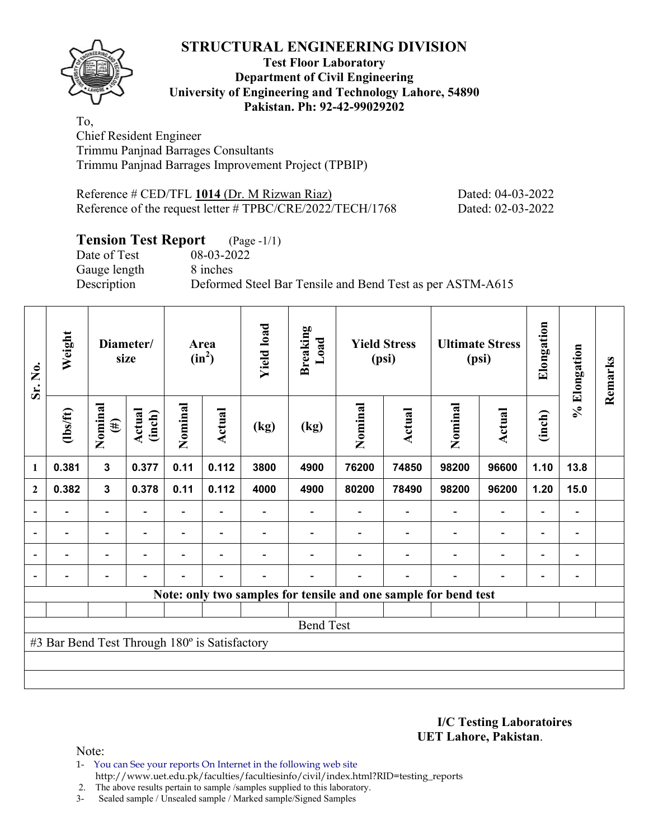**Test Floor Laboratory Department of Civil Engineering University of Engineering and Technology Lahore, 54890 Pakistan. Ph: 92-42-99029202** 

To, Chief Resident Engineer Trimmu Panjnad Barrages Consultants Trimmu Panjnad Barrages Improvement Project (TPBIP)

Reference # CED/TFL 1014 (Dr. M Rizwan Riaz) Dated: 04-03-2022 Reference of the request letter # TPBC/CRE/2022/TECH/1768 Dated: 02-03-2022

# **Tension Test Report** (Page -1/1)

Date of Test 08-03-2022 Gauge length 8 inches

Description Deformed Steel Bar Tensile and Bend Test as per ASTM-A615

| Sr. No.        | Weight                                        |                                                          | Diameter/<br>size        |                | Area<br>$(in^2)$         | <b>Yield load</b> | <b>Breaking</b><br>Load |         | <b>Yield Stress</b><br>(psi) |                                                                 | <b>Ultimate Stress</b><br>(psi) | Elongation               | % Elongation   | Remarks |
|----------------|-----------------------------------------------|----------------------------------------------------------|--------------------------|----------------|--------------------------|-------------------|-------------------------|---------|------------------------------|-----------------------------------------------------------------|---------------------------------|--------------------------|----------------|---------|
|                | $\frac{2}{10}$                                | Nominal<br>$(\#)$                                        | Actual<br>(inch)         | Nominal        | Actual                   | (kg)              | (kg)                    | Nominal | Actual                       | Nominal                                                         | Actual                          | (inch)                   |                |         |
| 1              | 0.381                                         | 3                                                        | 0.377                    | 0.11           | 0.112                    | 3800              | 4900                    | 76200   | 74850                        | 98200                                                           | 96600                           | 1.10                     | 13.8           |         |
| $\mathbf{2}$   | 0.382                                         | 0.378<br>0.112<br>$\mathbf{3}$<br>0.11<br>$\overline{a}$ |                          |                |                          | 4000              | 4900                    | 80200   | 78490                        | 98200                                                           | 96200                           | 1.20                     | 15.0           |         |
|                |                                               |                                                          |                          |                |                          |                   |                         |         |                              |                                                                 | $\overline{a}$                  | -                        |                |         |
| $\blacksquare$ | Ξ.                                            | $\overline{\phantom{a}}$                                 | $\overline{\phantom{a}}$ | Ξ.             | $\overline{\phantom{a}}$ |                   |                         |         | $\overline{\phantom{a}}$     | $\blacksquare$                                                  | $\overline{\phantom{a}}$        | $\overline{\phantom{a}}$ | $\blacksquare$ |         |
|                | Ξ.                                            | $\overline{\phantom{0}}$                                 | ۰                        | $\blacksquare$ | $\blacksquare$           |                   |                         |         |                              | $\blacksquare$                                                  | $\overline{a}$                  | $\overline{\phantom{a}}$ | $\blacksquare$ |         |
| $\blacksquare$ |                                               | $\overline{\phantom{0}}$                                 | $\blacksquare$           | $\blacksquare$ | $\blacksquare$           |                   |                         |         | $\overline{\phantom{0}}$     | $\overline{\phantom{0}}$                                        | $\overline{a}$                  | $\overline{\phantom{0}}$ |                |         |
|                |                                               |                                                          |                          |                |                          |                   |                         |         |                              | Note: only two samples for tensile and one sample for bend test |                                 |                          |                |         |
|                |                                               |                                                          |                          |                |                          |                   |                         |         |                              |                                                                 |                                 |                          |                |         |
|                | <b>Bend Test</b>                              |                                                          |                          |                |                          |                   |                         |         |                              |                                                                 |                                 |                          |                |         |
|                | #3 Bar Bend Test Through 180° is Satisfactory |                                                          |                          |                |                          |                   |                         |         |                              |                                                                 |                                 |                          |                |         |
|                |                                               |                                                          |                          |                |                          |                   |                         |         |                              |                                                                 |                                 |                          |                |         |
|                |                                               |                                                          |                          |                |                          |                   |                         |         |                              |                                                                 |                                 |                          |                |         |

**I/C Testing Laboratoires UET Lahore, Pakistan**.

Note:

1- You can See your reports On Internet in the following web site http://www.uet.edu.pk/faculties/facultiesinfo/civil/index.html?RID=testing\_reports

2. The above results pertain to sample /samples supplied to this laboratory.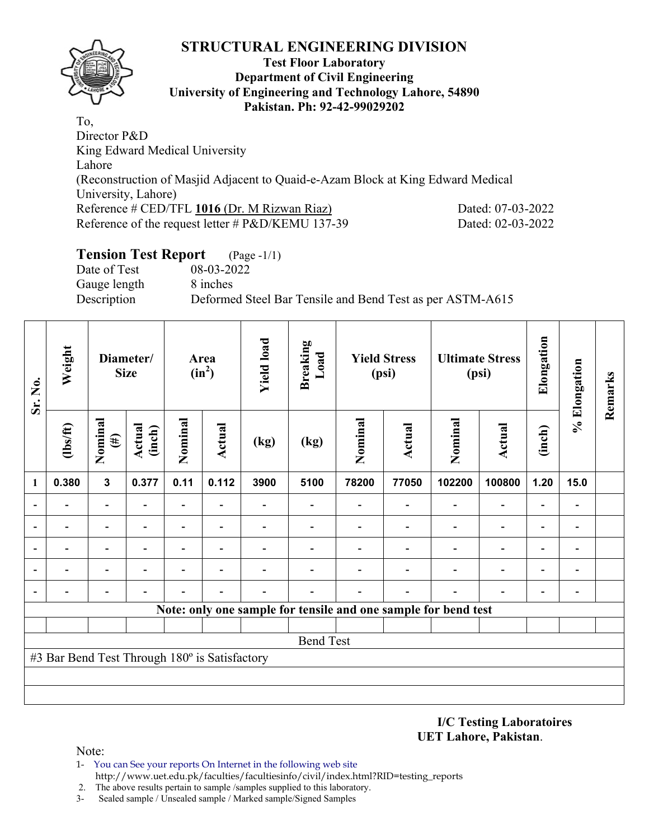

#### **Test Floor Laboratory Department of Civil Engineering University of Engineering and Technology Lahore, 54890 Pakistan. Ph: 92-42-99029202**

To, Director P&D King Edward Medical University Lahore (Reconstruction of Masjid Adjacent to Quaid-e-Azam Block at King Edward Medical University, Lahore) Reference # CED/TFL 1016 (Dr. M Rizwan Riaz) Dated: 07-03-2022 Reference of the request letter # P&D/KEMU 137-39 Dated: 02-03-2022

# **Tension Test Report** (Page -1/1)

Date of Test 08-03-2022 Gauge length 8 inches

Description Deformed Steel Bar Tensile and Bend Test as per ASTM-A615

| Sr. No.        | Weight                                        |                                                           | Diameter/<br><b>Size</b> |         | Area<br>$(in^2)$         | <b>Yield load</b> | <b>Breaking</b><br>Load |         | <b>Yield Stress</b><br>(psi) |                                                                | <b>Ultimate Stress</b><br>(psi) | Elongation | % Elongation | Remarks |
|----------------|-----------------------------------------------|-----------------------------------------------------------|--------------------------|---------|--------------------------|-------------------|-------------------------|---------|------------------------------|----------------------------------------------------------------|---------------------------------|------------|--------------|---------|
|                | $\frac{2}{10}$                                | Nominal<br>$(\#)$                                         | Actual<br>(inch)         | Nominal | Actual                   | (kg)              | (kg)                    | Nominal | Actual                       | Nominal                                                        | Actual                          | (inch)     |              |         |
| $\mathbf{1}$   | 0.380                                         | $\mathbf{3}$                                              | 0.377                    | 0.11    | 0.112                    | 3900              | 5100                    | 78200   | 77050                        | 102200                                                         | 100800                          | 1.20       | 15.0         |         |
| $\blacksquare$ |                                               | $\overline{\phantom{a}}$<br>$\overline{\phantom{0}}$<br>- |                          |         |                          |                   |                         |         |                              |                                                                |                                 |            | -            |         |
|                |                                               |                                                           |                          |         | $\overline{\phantom{0}}$ |                   |                         |         |                              |                                                                | $\blacksquare$                  | ۰          | -            |         |
|                |                                               |                                                           |                          |         |                          |                   |                         |         |                              |                                                                |                                 |            | -            |         |
| $\overline{a}$ |                                               | -                                                         |                          |         | $\blacksquare$           |                   |                         |         |                              |                                                                |                                 |            | -            |         |
| $\overline{a}$ |                                               |                                                           |                          |         |                          |                   |                         |         |                              |                                                                |                                 |            | -            |         |
|                |                                               |                                                           |                          |         |                          |                   |                         |         |                              | Note: only one sample for tensile and one sample for bend test |                                 |            |              |         |
|                |                                               |                                                           |                          |         |                          |                   |                         |         |                              |                                                                |                                 |            |              |         |
|                |                                               |                                                           |                          |         |                          |                   | <b>Bend Test</b>        |         |                              |                                                                |                                 |            |              |         |
|                | #3 Bar Bend Test Through 180° is Satisfactory |                                                           |                          |         |                          |                   |                         |         |                              |                                                                |                                 |            |              |         |
|                |                                               |                                                           |                          |         |                          |                   |                         |         |                              |                                                                |                                 |            |              |         |
|                |                                               |                                                           |                          |         |                          |                   |                         |         |                              |                                                                |                                 |            |              |         |

**I/C Testing Laboratoires UET Lahore, Pakistan**.

- 1- You can See your reports On Internet in the following web site http://www.uet.edu.pk/faculties/facultiesinfo/civil/index.html?RID=testing\_reports
- 2. The above results pertain to sample /samples supplied to this laboratory.
- 3- Sealed sample / Unsealed sample / Marked sample/Signed Samples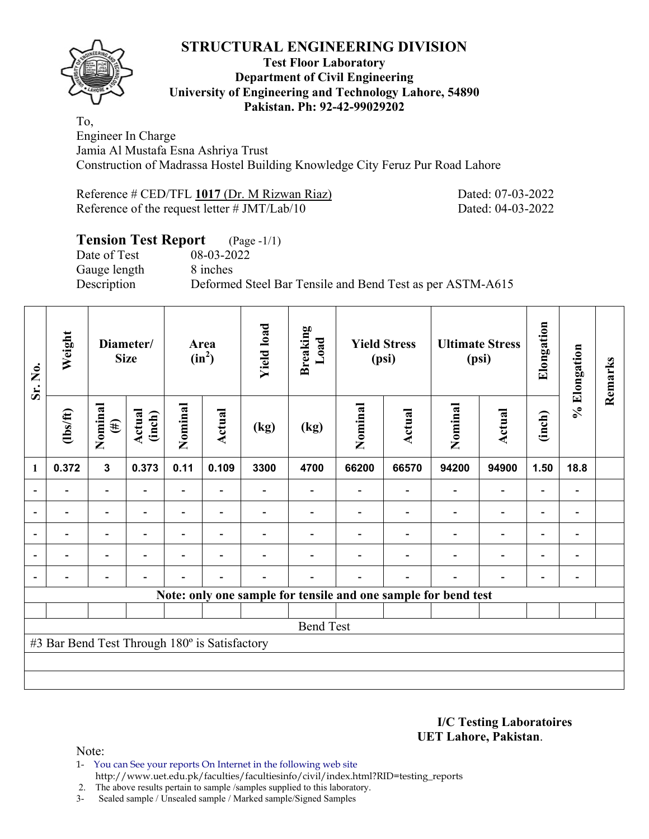

#### **Test Floor Laboratory Department of Civil Engineering University of Engineering and Technology Lahore, 54890 Pakistan. Ph: 92-42-99029202**

To, Engineer In Charge Jamia Al Mustafa Esna Ashriya Trust Construction of Madrassa Hostel Building Knowledge City Feruz Pur Road Lahore

| Reference # CED/TFL 1017 (Dr. M Rizwan Riaz)    |  |  |  |
|-------------------------------------------------|--|--|--|
| Reference of the request letter $\# JMT/Lab/10$ |  |  |  |

Dated: 07-03-2022 Dated: 04-03-2022

#### **Tension Test Report** (Page -1/1)<br>Date of Test 08-03-2022 Date of Test Gauge length 8 inches

Description Deformed Steel Bar Tensile and Bend Test as per ASTM-A615

| Sr. No.        | Weight                                        |                          | Diameter/<br><b>Size</b> |         | Area<br>$(in^2)$         | <b>Yield load</b> | <b>Breaking</b><br>Load |                                                                | <b>Yield Stress</b><br>(psi) |         | <b>Ultimate Stress</b><br>(psi) | Elongation               | % Elongation   | Remarks |
|----------------|-----------------------------------------------|--------------------------|--------------------------|---------|--------------------------|-------------------|-------------------------|----------------------------------------------------------------|------------------------------|---------|---------------------------------|--------------------------|----------------|---------|
|                | $\frac{2}{10}$                                | Nominal<br>$(\#)$        | Actual<br>(inch)         | Nominal | Actual                   | (kg)              | (kg)                    | Nominal                                                        | <b>Actual</b>                | Nominal | Actual                          | (inch)                   |                |         |
| 1              | 0.372                                         | $\mathbf{3}$             | 0.373                    | 0.11    | 0.109                    | 3300              | 4700                    | 66200                                                          | 66570                        | 94200   | 94900                           | 1.50                     | 18.8           |         |
|                |                                               | $\blacksquare$           |                          |         |                          |                   |                         |                                                                |                              |         |                                 |                          |                |         |
| $\blacksquare$ | $\overline{\phantom{0}}$                      |                          |                          |         | $\overline{\phantom{0}}$ |                   |                         |                                                                |                              |         | $\overline{\phantom{0}}$        | $\overline{\phantom{0}}$ | $\blacksquare$ |         |
| $\overline{a}$ |                                               | -                        |                          |         |                          |                   |                         |                                                                |                              |         | $\overline{\phantom{0}}$        | $\overline{\phantom{0}}$ | $\blacksquare$ |         |
|                | $\blacksquare$                                | $\overline{\phantom{0}}$ |                          |         | $\blacksquare$           |                   |                         |                                                                |                              |         | $\blacksquare$                  | $\blacksquare$           | $\blacksquare$ |         |
|                |                                               | $\blacksquare$           |                          |         | $\blacksquare$           |                   |                         |                                                                |                              |         |                                 |                          |                |         |
|                |                                               |                          |                          |         |                          |                   |                         | Note: only one sample for tensile and one sample for bend test |                              |         |                                 |                          |                |         |
|                |                                               |                          |                          |         |                          |                   |                         |                                                                |                              |         |                                 |                          |                |         |
|                |                                               |                          |                          |         |                          |                   | <b>Bend Test</b>        |                                                                |                              |         |                                 |                          |                |         |
|                | #3 Bar Bend Test Through 180° is Satisfactory |                          |                          |         |                          |                   |                         |                                                                |                              |         |                                 |                          |                |         |
|                |                                               |                          |                          |         |                          |                   |                         |                                                                |                              |         |                                 |                          |                |         |
|                |                                               |                          |                          |         |                          |                   |                         |                                                                |                              |         |                                 |                          |                |         |

**I/C Testing Laboratoires UET Lahore, Pakistan**.

Note:

1- You can See your reports On Internet in the following web site http://www.uet.edu.pk/faculties/facultiesinfo/civil/index.html?RID=testing\_reports

2. The above results pertain to sample /samples supplied to this laboratory.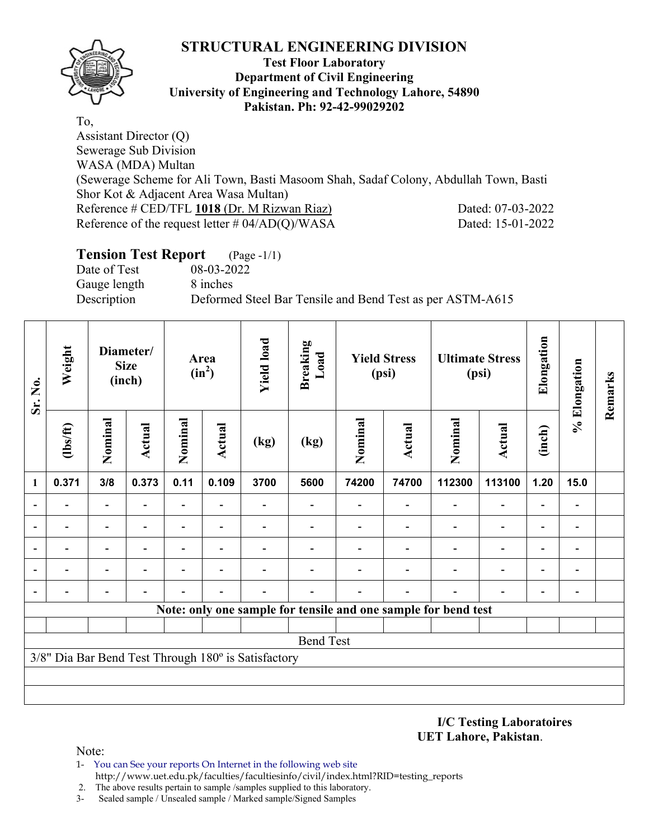

#### **Test Floor Laboratory Department of Civil Engineering University of Engineering and Technology Lahore, 54890 Pakistan. Ph: 92-42-99029202**

To, Assistant Director (Q) Sewerage Sub Division WASA (MDA) Multan (Sewerage Scheme for Ali Town, Basti Masoom Shah, Sadaf Colony, Abdullah Town, Basti Shor Kot & Adjacent Area Wasa Multan) Reference # CED/TFL 1018 (Dr. M Rizwan Riaz) Dated: 07-03-2022 Reference of the request letter # 04/AD(Q)/WASA Dated: 15-01-2022

# **Tension Test Report** (Page -1/1)

Date of Test 08-03-2022 Gauge length 8 inches

Description Deformed Steel Bar Tensile and Bend Test as per ASTM-A615

| Sr. No. | Weight                   |                                                                                                    | Diameter/<br><b>Size</b><br>(inch) |                          | Area<br>$(in^2)$         | <b>Yield load</b>                                   | <b>Breaking</b><br>Load |         | <b>Yield Stress</b><br>(psi) |                                                                | <b>Ultimate Stress</b><br>(psi) | Elongation               | % Elongation                 | Remarks |
|---------|--------------------------|----------------------------------------------------------------------------------------------------|------------------------------------|--------------------------|--------------------------|-----------------------------------------------------|-------------------------|---------|------------------------------|----------------------------------------------------------------|---------------------------------|--------------------------|------------------------------|---------|
|         | $\frac{2}{10}$           | Nominal                                                                                            | Actual                             | Nominal                  | Actual                   | (kg)                                                | (kg)                    | Nominal | <b>Actual</b>                | Nominal                                                        | Actual                          | (inch)                   |                              |         |
| 1       | 0.371                    | 3/8                                                                                                | 0.373                              | 0.11                     | 0.109                    | 3700                                                | 5600                    | 74200   | 74700                        | 112300                                                         | 113100                          | 1.20                     | 15.0                         |         |
|         |                          | $\overline{\phantom{0}}$<br>$\overline{\phantom{0}}$<br>$\overline{\phantom{0}}$<br>$\overline{a}$ |                                    |                          |                          |                                                     |                         |         |                              |                                                                |                                 |                          | $\qquad \qquad \blacksquare$ |         |
|         |                          |                                                                                                    |                                    |                          |                          |                                                     |                         |         |                              |                                                                | $\overline{\phantom{0}}$        | $\overline{\phantom{0}}$ | $\qquad \qquad \blacksquare$ |         |
|         | $\overline{\phantom{0}}$ | $\overline{\phantom{a}}$                                                                           | $\blacksquare$                     | $\overline{\phantom{0}}$ | $\overline{\phantom{a}}$ |                                                     |                         |         |                              |                                                                | $\overline{\phantom{0}}$        | $\overline{\phantom{0}}$ | $\qquad \qquad \blacksquare$ |         |
|         | $\blacksquare$           | $\overline{\phantom{0}}$                                                                           | -                                  | -                        | $\overline{\phantom{0}}$ |                                                     |                         |         |                              |                                                                | $\blacksquare$                  | $\blacksquare$           | $\qquad \qquad \blacksquare$ |         |
|         | $\overline{\phantom{0}}$ | -                                                                                                  | -                                  |                          | $\overline{\phantom{0}}$ |                                                     |                         |         |                              |                                                                | ٠                               | $\overline{\phantom{0}}$ | $\qquad \qquad \blacksquare$ |         |
|         |                          |                                                                                                    |                                    |                          |                          |                                                     |                         |         |                              | Note: only one sample for tensile and one sample for bend test |                                 |                          |                              |         |
|         |                          |                                                                                                    |                                    |                          |                          |                                                     |                         |         |                              |                                                                |                                 |                          |                              |         |
|         |                          |                                                                                                    |                                    |                          |                          |                                                     | <b>Bend Test</b>        |         |                              |                                                                |                                 |                          |                              |         |
|         |                          |                                                                                                    |                                    |                          |                          | 3/8" Dia Bar Bend Test Through 180° is Satisfactory |                         |         |                              |                                                                |                                 |                          |                              |         |
|         |                          |                                                                                                    |                                    |                          |                          |                                                     |                         |         |                              |                                                                |                                 |                          |                              |         |
|         |                          |                                                                                                    |                                    |                          |                          |                                                     |                         |         |                              |                                                                |                                 |                          |                              |         |

**I/C Testing Laboratoires UET Lahore, Pakistan**.

- 1- You can See your reports On Internet in the following web site http://www.uet.edu.pk/faculties/facultiesinfo/civil/index.html?RID=testing\_reports
- 2. The above results pertain to sample /samples supplied to this laboratory.
- 3- Sealed sample / Unsealed sample / Marked sample/Signed Samples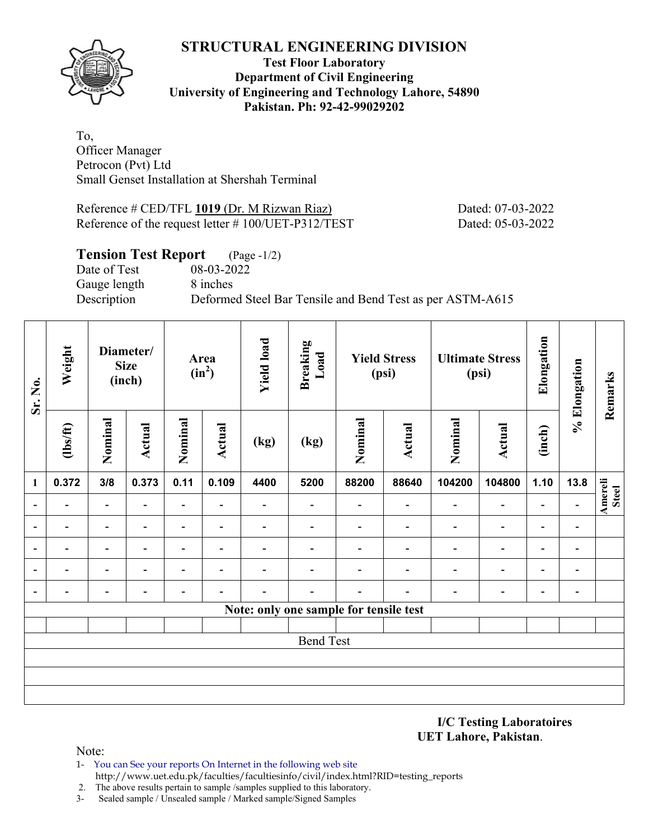

#### **Test Floor Laboratory Department of Civil Engineering University of Engineering and Technology Lahore, 54890 Pakistan. Ph: 92-42-99029202**

To, Officer Manager Petrocon (Pvt) Ltd Small Genset Installation at Shershah Terminal

Reference # CED/TFL 1019 (Dr. M Rizwan Riaz) Dated: 07-03-2022 Reference of the request letter # 100/UET-P312/TEST Dated: 05-03-2022

#### **Tension Test Report** (Page -1/2)

Date of Test 08-03-2022 Gauge length 8 inches

Description Deformed Steel Bar Tensile and Bend Test as per ASTM-A615

| Sr. No.                  | Weight                   |                                                                        | Diameter/<br><b>Size</b><br>(inch) |                          | Area<br>$(in^2)$ | <b>Yield load</b>        | <b>Breaking</b><br>Load  |                                        | <b>Yield Stress</b><br>(psi) |                          | <b>Ultimate Stress</b><br>(psi) | Elongation               | % Elongation                 | Remarks          |
|--------------------------|--------------------------|------------------------------------------------------------------------|------------------------------------|--------------------------|------------------|--------------------------|--------------------------|----------------------------------------|------------------------------|--------------------------|---------------------------------|--------------------------|------------------------------|------------------|
|                          | $\frac{2}{10}$           | Nominal                                                                | <b>Actual</b>                      | Nominal                  | Actual           | (kg)                     | (kg)                     | Nominal                                | <b>Actual</b>                | Nominal                  | Actual                          | (inch)                   |                              |                  |
| $\mathbf{1}$             | 0.372                    | 3/8                                                                    | 0.373                              | 0.11                     | 0.109            | 4400                     | 5200                     | 88200                                  | 88640                        | 104200                   | 104800                          | 1.10                     | 13.8                         |                  |
| $\overline{\phantom{a}}$ |                          | $\overline{\phantom{0}}$<br>$\overline{\phantom{0}}$<br>$\blacksquare$ |                                    |                          |                  |                          | $\overline{\phantom{a}}$ |                                        | $\overline{\phantom{0}}$     | $\overline{\phantom{a}}$ | $\overline{\phantom{0}}$        | $\overline{\phantom{0}}$ |                              | Amereli<br>Steel |
| $\overline{\phantom{a}}$ |                          | $\overline{\phantom{0}}$                                               | $\overline{\phantom{0}}$           | $\overline{\phantom{0}}$ | $\blacksquare$   |                          |                          |                                        |                              | $\overline{\phantom{0}}$ | $\overline{\phantom{0}}$        | $\overline{\phantom{0}}$ | $\overline{\phantom{0}}$     |                  |
| $\overline{\phantom{a}}$ | $\overline{\phantom{a}}$ | $\overline{\phantom{a}}$                                               | $\overline{\phantom{0}}$           |                          | $\blacksquare$   | $\overline{\phantom{0}}$ |                          |                                        | $\overline{\phantom{0}}$     | $\overline{\phantom{0}}$ | $\overline{\phantom{0}}$        | $\overline{\phantom{0}}$ | $\qquad \qquad \blacksquare$ |                  |
| $\overline{\phantom{a}}$ | $\blacksquare$           | $\blacksquare$                                                         | $\blacksquare$                     | ۰                        | $\blacksquare$   |                          |                          |                                        | $\blacksquare$               | $\overline{\phantom{a}}$ | $\overline{\phantom{0}}$        | $\overline{\phantom{0}}$ | $\qquad \qquad \blacksquare$ |                  |
| $\overline{\phantom{a}}$ | $\blacksquare$           | $\overline{a}$                                                         |                                    | $\blacksquare$           | ۰                |                          |                          |                                        | ۰                            | $\blacksquare$           | $\overline{\phantom{0}}$        | $\overline{\phantom{0}}$ | $\qquad \qquad \blacksquare$ |                  |
|                          |                          |                                                                        |                                    |                          |                  |                          |                          | Note: only one sample for tensile test |                              |                          |                                 |                          |                              |                  |
|                          |                          |                                                                        |                                    |                          |                  |                          |                          |                                        |                              |                          |                                 |                          |                              |                  |
|                          |                          |                                                                        |                                    |                          |                  |                          | <b>Bend Test</b>         |                                        |                              |                          |                                 |                          |                              |                  |
|                          |                          |                                                                        |                                    |                          |                  |                          |                          |                                        |                              |                          |                                 |                          |                              |                  |
|                          |                          |                                                                        |                                    |                          |                  |                          |                          |                                        |                              |                          |                                 |                          |                              |                  |
|                          |                          |                                                                        |                                    |                          |                  |                          |                          |                                        |                              |                          |                                 |                          |                              |                  |

**I/C Testing Laboratoires UET Lahore, Pakistan**.

- 1- You can See your reports On Internet in the following web site http://www.uet.edu.pk/faculties/facultiesinfo/civil/index.html?RID=testing\_reports
- 2. The above results pertain to sample /samples supplied to this laboratory.
- 3- Sealed sample / Unsealed sample / Marked sample/Signed Samples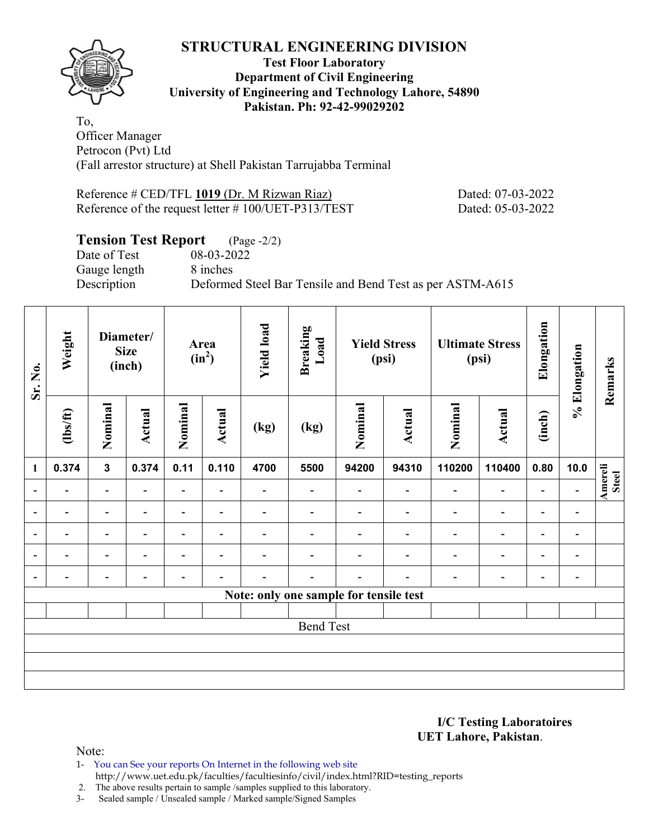

#### **Test Floor Laboratory Department of Civil Engineering University of Engineering and Technology Lahore, 54890 Pakistan. Ph: 92-42-99029202**

To, Officer Manager Petrocon (Pvt) Ltd (Fall arrestor structure) at Shell Pakistan Tarrujabba Terminal

Reference # CED/TFL 1019 (Dr. M Rizwan Riaz) Dated: 07-03-2022 Reference of the request letter # 100/UET-P313/TEST Dated: 05-03-2022

# **Tension Test Report** (Page -2/2)

Date of Test 08-03-2022 Gauge length 8 inches

Description Deformed Steel Bar Tensile and Bend Test as per ASTM-A615

| Sr. No.                  | Weight                   |                                                                                                                                          | Diameter/<br><b>Size</b><br>(inch) |                          | Area<br>$(in^2)$         | <b>Yield load</b> | <b>Breaking</b><br>Load                |                          | <b>Yield Stress</b><br>(psi) |                          | <b>Ultimate Stress</b><br>(psi) | Elongation               | % Elongation             | Remarks                 |
|--------------------------|--------------------------|------------------------------------------------------------------------------------------------------------------------------------------|------------------------------------|--------------------------|--------------------------|-------------------|----------------------------------------|--------------------------|------------------------------|--------------------------|---------------------------------|--------------------------|--------------------------|-------------------------|
|                          | $\frac{2}{10}$           | Nominal                                                                                                                                  | Actual                             | Nominal                  | <b>Actual</b>            | (kg)              | (kg)                                   | Nominal                  | <b>Actual</b>                | Nominal                  | Actual                          | (inch)                   |                          |                         |
| $\mathbf{1}$             | 0.374                    | $\mathbf{3}$                                                                                                                             | 0.374                              | 0.11                     | 0.110                    | 4700              | 5500                                   | 94200                    | 94310                        | 110200                   | 110400                          | 0.80                     | 10.0                     |                         |
| $\blacksquare$           | $\overline{\phantom{0}}$ | $\overline{\phantom{a}}$<br>$\overline{\phantom{a}}$<br>$\overline{\phantom{0}}$<br>$\overline{\phantom{a}}$<br>$\overline{\phantom{0}}$ |                                    |                          |                          | $\overline{a}$    |                                        | $\overline{\phantom{0}}$ | $\overline{\phantom{0}}$     | $\overline{\phantom{a}}$ | $\overline{\phantom{a}}$        | $\overline{\phantom{a}}$ | $\overline{\phantom{a}}$ | <b>Amereli</b><br>Steel |
| $\overline{\phantom{a}}$ | $\overline{\phantom{0}}$ |                                                                                                                                          |                                    |                          | $\blacksquare$           |                   |                                        | $\overline{\phantom{0}}$ | $\overline{\phantom{a}}$     | -                        | $\overline{\phantom{a}}$        | $\overline{\phantom{a}}$ | $\blacksquare$           |                         |
| $\overline{\phantom{0}}$ |                          | $\overline{\phantom{0}}$                                                                                                                 |                                    |                          | $\overline{\phantom{0}}$ |                   |                                        |                          |                              | $\overline{\phantom{0}}$ | $\overline{\phantom{0}}$        | $\overline{a}$           | $\overline{\phantom{a}}$ |                         |
| $\overline{\phantom{a}}$ | -                        | $\overline{\phantom{0}}$                                                                                                                 |                                    | $\blacksquare$           | $\overline{\phantom{0}}$ |                   |                                        |                          | $\overline{\phantom{0}}$     | $\overline{\phantom{0}}$ | $\overline{\phantom{0}}$        | $\overline{\phantom{a}}$ | $\overline{\phantom{a}}$ |                         |
| $\overline{\phantom{a}}$ | -                        | $\qquad \qquad \blacksquare$                                                                                                             | $\overline{\phantom{0}}$           | $\overline{\phantom{0}}$ | $\overline{\phantom{a}}$ |                   |                                        | -                        | $\overline{\phantom{0}}$     | $\overline{\phantom{a}}$ | $\blacksquare$                  | $\overline{\phantom{a}}$ | $\blacksquare$           |                         |
|                          |                          |                                                                                                                                          |                                    |                          |                          |                   | Note: only one sample for tensile test |                          |                              |                          |                                 |                          |                          |                         |
|                          |                          |                                                                                                                                          |                                    |                          |                          |                   |                                        |                          |                              |                          |                                 |                          |                          |                         |
|                          |                          |                                                                                                                                          |                                    |                          |                          |                   | <b>Bend Test</b>                       |                          |                              |                          |                                 |                          |                          |                         |
|                          |                          |                                                                                                                                          |                                    |                          |                          |                   |                                        |                          |                              |                          |                                 |                          |                          |                         |
|                          |                          |                                                                                                                                          |                                    |                          |                          |                   |                                        |                          |                              |                          |                                 |                          |                          |                         |
|                          |                          |                                                                                                                                          |                                    |                          |                          |                   |                                        |                          |                              |                          |                                 |                          |                          |                         |

**I/C Testing Laboratoires UET Lahore, Pakistan**.

Note:

1- You can See your reports On Internet in the following web site http://www.uet.edu.pk/faculties/facultiesinfo/civil/index.html?RID=testing\_reports

2. The above results pertain to sample /samples supplied to this laboratory.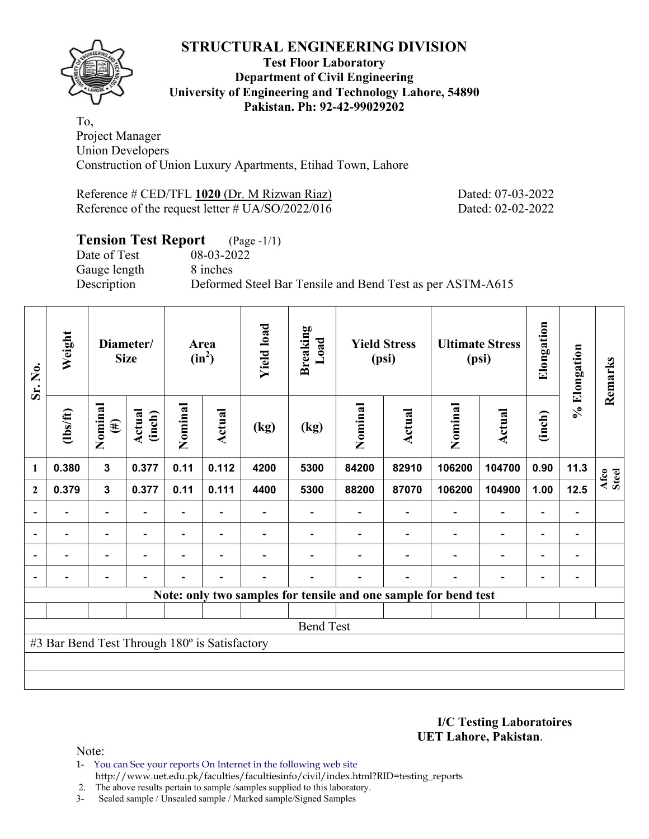

#### **Test Floor Laboratory Department of Civil Engineering University of Engineering and Technology Lahore, 54890 Pakistan. Ph: 92-42-99029202**

To, Project Manager Union Developers Construction of Union Luxury Apartments, Etihad Town, Lahore

Reference # CED/TFL 1020 (Dr. M Rizwan Riaz) Dated: 07-03-2022 Reference of the request letter # UA/SO/2022/016 Dated: 02-02-2022

# **Tension Test Report** (Page -1/1)

Date of Test 08-03-2022 Gauge length 8 inches

Description Deformed Steel Bar Tensile and Bend Test as per ASTM-A615

| Sr. No.          | Weight                                        |                                                           | Diameter/<br><b>Size</b> |                          | Area<br>$(in^2)$         | <b>Yield load</b> | <b>Breaking</b><br>Load |         | <b>Yield Stress</b><br>(psi) |                                                                 | <b>Ultimate Stress</b><br>(psi) | Elongation               | % Elongation             | Remarks       |
|------------------|-----------------------------------------------|-----------------------------------------------------------|--------------------------|--------------------------|--------------------------|-------------------|-------------------------|---------|------------------------------|-----------------------------------------------------------------|---------------------------------|--------------------------|--------------------------|---------------|
|                  | (1bs/ft)                                      | Nominal<br>$(\#)$                                         | Actual<br>(inch)         | Nominal                  | <b>Actual</b>            | (kg)              | (kg)                    | Nominal | Actual                       | Nominal                                                         | Actual                          | (inch)                   |                          |               |
| $\mathbf{1}$     | 0.380                                         | $\mathbf{3}$                                              | 0.377                    | 0.11                     | 0.112                    | 4200              | 5300                    | 84200   | 82910                        | 106200                                                          | 104700                          | 0.90                     | 11.3                     | Afco<br>Steel |
| $\boldsymbol{2}$ | 0.379                                         | $\mathbf{3}$<br>0.377<br>0.11<br>$\overline{\phantom{a}}$ |                          |                          | 0.111                    | 4400              | 5300                    | 88200   | 87070                        | 106200                                                          | 104900                          | 1.00                     | 12.5                     |               |
|                  |                                               |                                                           |                          |                          | $\overline{\phantom{a}}$ |                   |                         |         | $\blacksquare$               | $\overline{\phantom{a}}$                                        | $\overline{\phantom{a}}$        | $\overline{\phantom{a}}$ |                          |               |
|                  | $\overline{\phantom{0}}$                      | $\overline{\phantom{a}}$                                  |                          | $\overline{\phantom{0}}$ | $\blacksquare$           |                   |                         |         |                              | $\overline{\phantom{0}}$                                        | $\overline{a}$                  | $\overline{\phantom{a}}$ | $\overline{\phantom{0}}$ |               |
|                  | $\overline{\phantom{0}}$                      | -                                                         |                          | Ξ.                       | $\blacksquare$           |                   |                         |         |                              | $\overline{\phantom{0}}$                                        | $\qquad \qquad \blacksquare$    | $\overline{\phantom{0}}$ | $\overline{\phantom{0}}$ |               |
|                  |                                               | $\overline{\phantom{0}}$                                  |                          |                          | $\overline{\phantom{0}}$ |                   |                         |         |                              |                                                                 | $\overline{\phantom{0}}$        | $\overline{\phantom{0}}$ | -                        |               |
|                  |                                               |                                                           |                          |                          |                          |                   |                         |         |                              | Note: only two samples for tensile and one sample for bend test |                                 |                          |                          |               |
|                  |                                               |                                                           |                          |                          |                          |                   |                         |         |                              |                                                                 |                                 |                          |                          |               |
|                  | <b>Bend Test</b>                              |                                                           |                          |                          |                          |                   |                         |         |                              |                                                                 |                                 |                          |                          |               |
|                  | #3 Bar Bend Test Through 180° is Satisfactory |                                                           |                          |                          |                          |                   |                         |         |                              |                                                                 |                                 |                          |                          |               |
|                  |                                               |                                                           |                          |                          |                          |                   |                         |         |                              |                                                                 |                                 |                          |                          |               |
|                  |                                               |                                                           |                          |                          |                          |                   |                         |         |                              |                                                                 |                                 |                          |                          |               |

**I/C Testing Laboratoires UET Lahore, Pakistan**.

Note:

1- You can See your reports On Internet in the following web site http://www.uet.edu.pk/faculties/facultiesinfo/civil/index.html?RID=testing\_reports

2. The above results pertain to sample /samples supplied to this laboratory.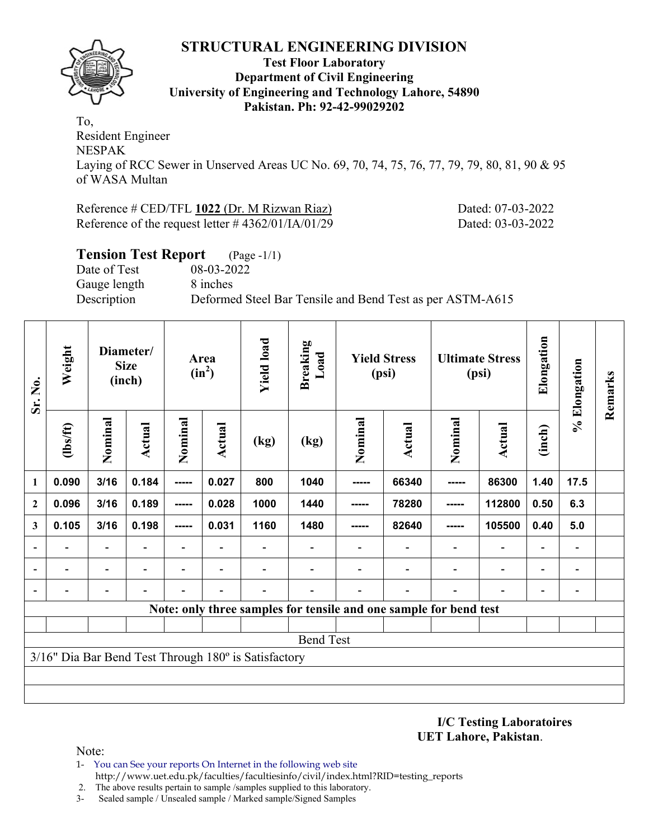#### **Test Floor Laboratory Department of Civil Engineering University of Engineering and Technology Lahore, 54890 Pakistan. Ph: 92-42-99029202**

To, Resident Engineer NESPAK Laying of RCC Sewer in Unserved Areas UC No. 69, 70, 74, 75, 76, 77, 79, 79, 80, 81, 90 & 95 of WASA Multan

#### Reference # CED/TFL 1022 (Dr. M Rizwan Riaz) Dated: 07-03-2022 Reference of the request letter # 4362/01/IA/01/29 Dated: 03-03-2022

| <b>Tension Test Report</b> (Page -1/1) |                                                           |
|----------------------------------------|-----------------------------------------------------------|
| Date of Test                           | 08-03-2022                                                |
| Gauge length                           | 8 inches                                                  |
| Description                            | Deformed Steel Bar Tensile and Bend Test as per ASTM-A615 |

| Sr. No.                  | Weight                                               |                                         | Diameter/<br><b>Size</b><br>(inch) |                          | Area<br>$(in^2)$         | <b>Yield load</b> | <b>Breaking</b><br>Load                                           |         | <b>Yield Stress</b><br>(psi) |                          | <b>Ultimate Stress</b><br>(psi) | Elongation               | % Elongation             | Remarks |
|--------------------------|------------------------------------------------------|-----------------------------------------|------------------------------------|--------------------------|--------------------------|-------------------|-------------------------------------------------------------------|---------|------------------------------|--------------------------|---------------------------------|--------------------------|--------------------------|---------|
|                          | $lbsft$                                              | Nominal                                 | Actual                             | Nominal                  | Actual                   | (kg)              | (kg)                                                              | Nominal | <b>Actual</b>                | Nominal                  | <b>Actual</b>                   | (inch)                   |                          |         |
| $\mathbf{1}$             | 0.090                                                | 3/16                                    | 0.184                              | -----                    | 0.027                    | 800               | 1040                                                              | -----   | 66340                        | -----                    | 86300                           | 1.40                     | 17.5                     |         |
| $\mathbf{2}$             | 0.096                                                | 0.189<br>3/16<br>-----<br>3/16<br>----- |                                    |                          | 0.028                    | 1000              | 1440                                                              | -----   | 78280                        | -----                    | 112800                          | 0.50                     | 6.3                      |         |
| 3                        | 0.105                                                | 0.198                                   |                                    |                          | 0.031                    | 1160              | 1480                                                              | -----   | 82640                        | -----                    | 105500                          | 0.40                     | 5.0                      |         |
|                          |                                                      | $\overline{\phantom{a}}$                | $\blacksquare$                     | -                        | $\overline{\phantom{a}}$ |                   |                                                                   |         | $\blacksquare$               | $\overline{\phantom{a}}$ | $\overline{\phantom{a}}$        | $\overline{\phantom{a}}$ | $\overline{\phantom{a}}$ |         |
|                          |                                                      | $\overline{\phantom{0}}$                |                                    | $\overline{\phantom{0}}$ | $\overline{\phantom{0}}$ |                   |                                                                   |         |                              |                          | $\overline{\phantom{0}}$        | $\overline{\phantom{a}}$ | $\blacksquare$           |         |
| $\overline{\phantom{0}}$ |                                                      |                                         |                                    |                          |                          |                   |                                                                   |         |                              |                          |                                 | $\overline{\phantom{0}}$ |                          |         |
|                          |                                                      |                                         |                                    |                          |                          |                   | Note: only three samples for tensile and one sample for bend test |         |                              |                          |                                 |                          |                          |         |
|                          |                                                      |                                         |                                    |                          |                          |                   |                                                                   |         |                              |                          |                                 |                          |                          |         |
|                          |                                                      |                                         |                                    |                          |                          |                   | <b>Bend Test</b>                                                  |         |                              |                          |                                 |                          |                          |         |
|                          | 3/16" Dia Bar Bend Test Through 180° is Satisfactory |                                         |                                    |                          |                          |                   |                                                                   |         |                              |                          |                                 |                          |                          |         |
|                          |                                                      |                                         |                                    |                          |                          |                   |                                                                   |         |                              |                          |                                 |                          |                          |         |
|                          |                                                      |                                         |                                    |                          |                          |                   |                                                                   |         |                              |                          |                                 |                          |                          |         |

**I/C Testing Laboratoires UET Lahore, Pakistan**.

Note:

1- You can See your reports On Internet in the following web site http://www.uet.edu.pk/faculties/facultiesinfo/civil/index.html?RID=testing\_reports

2. The above results pertain to sample /samples supplied to this laboratory.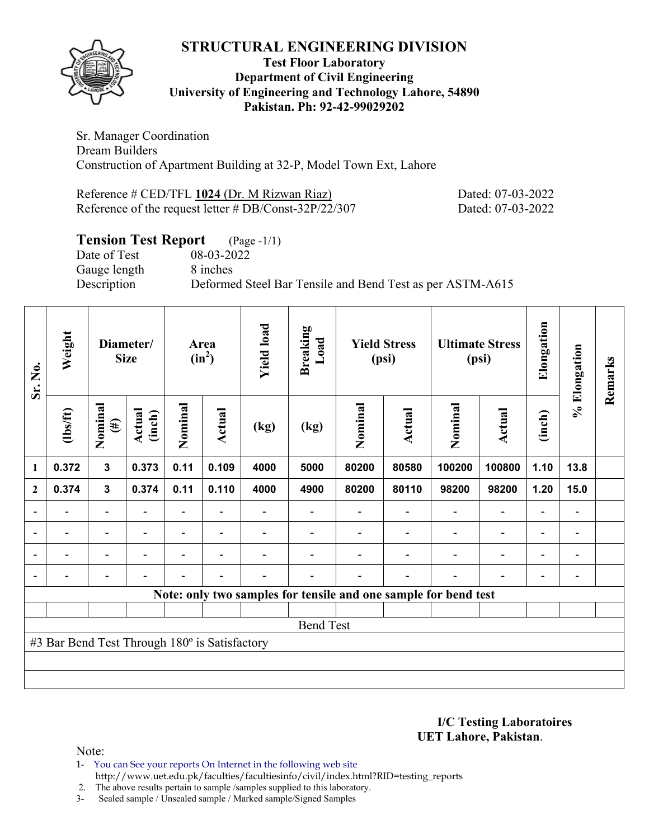

#### **Test Floor Laboratory Department of Civil Engineering University of Engineering and Technology Lahore, 54890 Pakistan. Ph: 92-42-99029202**

Sr. Manager Coordination Dream Builders Construction of Apartment Building at 32-P, Model Town Ext, Lahore

Reference # CED/TFL 1024 (Dr. M Rizwan Riaz) Dated: 07-03-2022 Reference of the request letter # DB/Const-32P/22/307 Dated: 07-03-2022

# **Tension Test Report** (Page -1/1)

Date of Test 08-03-2022 Gauge length 8 inches

Description Deformed Steel Bar Tensile and Bend Test as per ASTM-A615

| Sr. No.        | Weight                                        |                                                                    | Diameter/<br><b>Size</b> |                | Area<br>$(in^2)$ | <b>Yield load</b>        | <b>Breaking</b><br>Load |         | <b>Yield Stress</b><br>(psi) |                                                                 | <b>Ultimate Stress</b><br>(psi) | Elongation               | % Elongation                 | Remarks |
|----------------|-----------------------------------------------|--------------------------------------------------------------------|--------------------------|----------------|------------------|--------------------------|-------------------------|---------|------------------------------|-----------------------------------------------------------------|---------------------------------|--------------------------|------------------------------|---------|
|                | $lbsft$                                       | Nominal<br>$(\#)$                                                  | Actual<br>(inch)         | Nominal        | Actual           | (kg)                     | (kg)                    | Nominal | <b>Actual</b>                | Nominal                                                         | Actual                          | (inch)                   |                              |         |
| 1              | 0.372                                         | $\mathbf{3}$                                                       | 0.373                    | 0.11           | 0.109            | 4000                     | 5000                    | 80200   | 80580                        | 100200                                                          | 100800                          | 1.10                     | 13.8                         |         |
| $\mathbf{2}$   | 0.374                                         | 0.374<br>0.11<br>0.110<br>$\mathbf{3}$<br>$\overline{\phantom{0}}$ |                          |                |                  | 4000                     | 4900                    | 80200   | 80110                        | 98200                                                           | 98200                           | 1.20                     | 15.0                         |         |
|                |                                               |                                                                    |                          |                |                  |                          |                         |         |                              |                                                                 | $\overline{\phantom{0}}$        | $\overline{\phantom{0}}$ |                              |         |
| $\overline{a}$ | $\overline{\phantom{0}}$                      | $\blacksquare$                                                     | $\overline{\phantom{a}}$ |                | $\blacksquare$   | $\overline{\phantom{0}}$ |                         |         | $\overline{\phantom{a}}$     | $\overline{\phantom{a}}$                                        | $\overline{\phantom{a}}$        | $\overline{\phantom{a}}$ | $\blacksquare$               |         |
| $\overline{a}$ |                                               | $\overline{\phantom{0}}$                                           | $\overline{\phantom{0}}$ |                | $\blacksquare$   |                          |                         |         |                              | ٠                                                               | $\overline{a}$                  | $\overline{\phantom{0}}$ | $\qquad \qquad \blacksquare$ |         |
| $\overline{a}$ | $\overline{a}$                                | -                                                                  | $\overline{\phantom{0}}$ | $\blacksquare$ | $\blacksquare$   | $\blacksquare$           |                         |         | $\overline{\phantom{0}}$     | Ē,                                                              | $\overline{a}$                  | $\overline{\phantom{a}}$ | $\qquad \qquad \blacksquare$ |         |
|                |                                               |                                                                    |                          |                |                  |                          |                         |         |                              | Note: only two samples for tensile and one sample for bend test |                                 |                          |                              |         |
|                |                                               |                                                                    |                          |                |                  |                          |                         |         |                              |                                                                 |                                 |                          |                              |         |
|                | <b>Bend Test</b>                              |                                                                    |                          |                |                  |                          |                         |         |                              |                                                                 |                                 |                          |                              |         |
|                | #3 Bar Bend Test Through 180° is Satisfactory |                                                                    |                          |                |                  |                          |                         |         |                              |                                                                 |                                 |                          |                              |         |
|                |                                               |                                                                    |                          |                |                  |                          |                         |         |                              |                                                                 |                                 |                          |                              |         |
|                |                                               |                                                                    |                          |                |                  |                          |                         |         |                              |                                                                 |                                 |                          |                              |         |

**I/C Testing Laboratoires UET Lahore, Pakistan**.

- 1- You can See your reports On Internet in the following web site http://www.uet.edu.pk/faculties/facultiesinfo/civil/index.html?RID=testing\_reports
- 2. The above results pertain to sample /samples supplied to this laboratory.
- 3- Sealed sample / Unsealed sample / Marked sample/Signed Samples